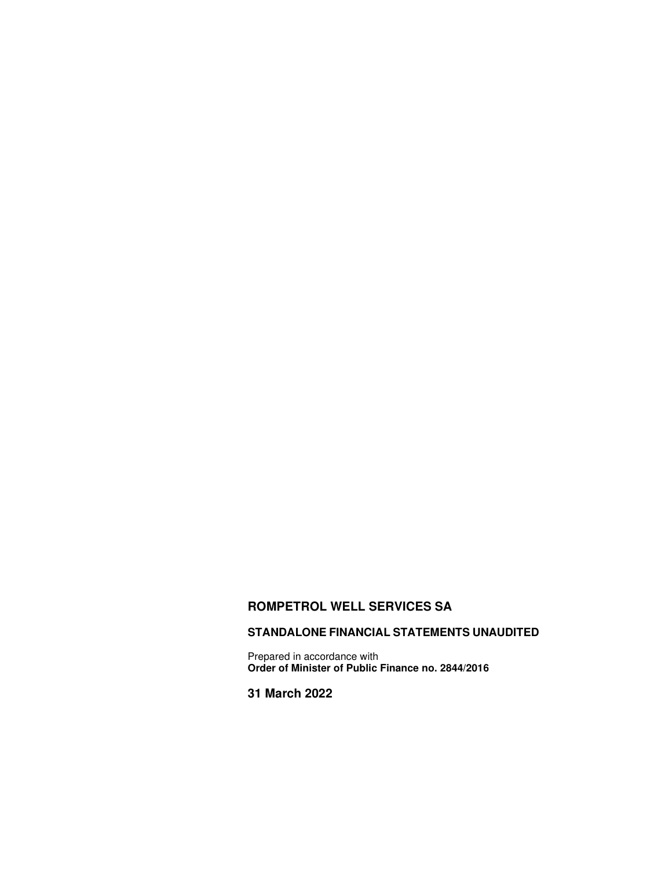# **ROMPETROL WELL SERVICES SA**

# **STANDALONE FINANCIAL STATEMENTS UNAUDITED**

Prepared in accordance with **Order of Minister of Public Finance no. 2844/2016** 

**31 March 2022**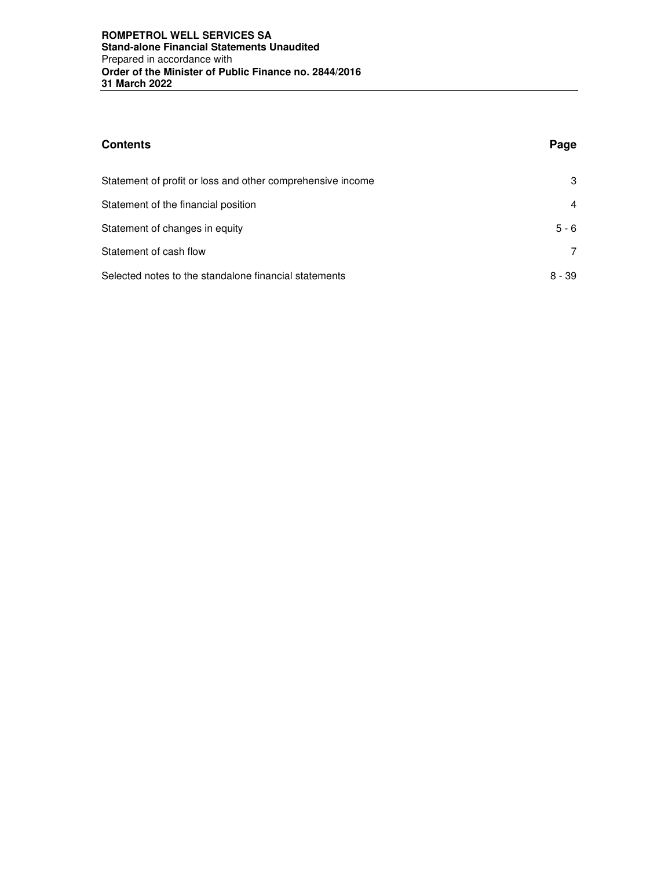| <b>Contents</b>                                            | Page    |
|------------------------------------------------------------|---------|
| Statement of profit or loss and other comprehensive income | 3       |
| Statement of the financial position                        | 4       |
| Statement of changes in equity                             | $5 - 6$ |
| Statement of cash flow                                     | 7       |
| Selected notes to the standalone financial statements      | 8 - 39  |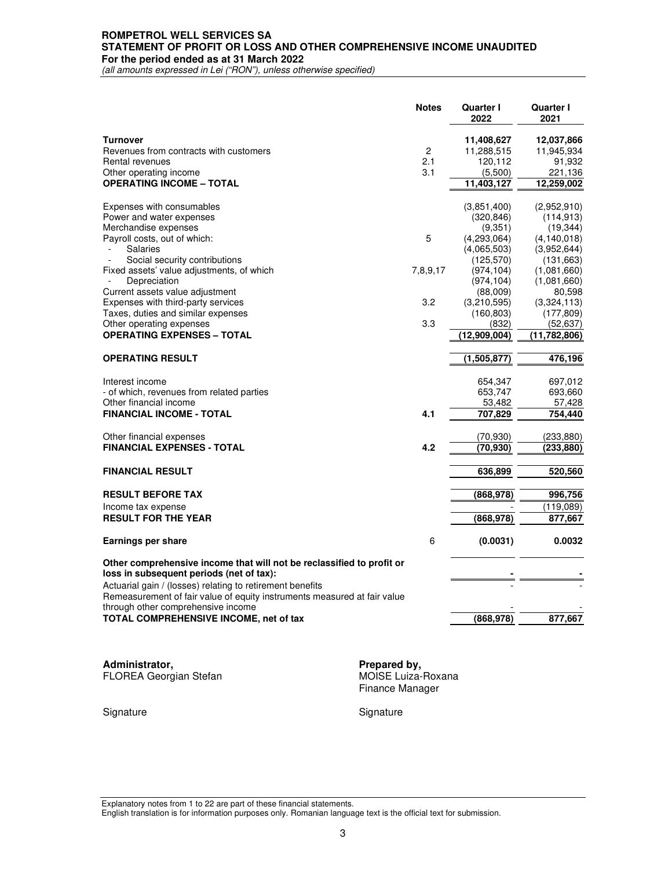#### **ROMPETROL WELL SERVICES SA STATEMENT OF PROFIT OR LOSS AND OTHER COMPREHENSIVE INCOME UNAUDITED For the period ended as at 31 March 2022**

*(all amounts expressed in Lei ("RON"), unless otherwise specified)* 

|                                                                                                                                       | <b>Notes</b>   | <b>Quarter I</b><br>2022 | Quarter I<br>2021 |
|---------------------------------------------------------------------------------------------------------------------------------------|----------------|--------------------------|-------------------|
| <b>Turnover</b>                                                                                                                       |                | 11,408,627               | 12,037,866        |
| Revenues from contracts with customers                                                                                                | $\overline{c}$ | 11,288,515               | 11,945,934        |
| Rental revenues                                                                                                                       | 2.1            | 120,112                  | 91,932            |
| Other operating income                                                                                                                | 3.1            | (5,500)                  | 221,136           |
| <b>OPERATING INCOME - TOTAL</b>                                                                                                       |                | 11,403,127               | 12,259,002        |
| Expenses with consumables                                                                                                             |                | (3,851,400)              | (2,952,910)       |
| Power and water expenses                                                                                                              |                | (320, 846)               | (114, 913)        |
| Merchandise expenses                                                                                                                  |                | (9,351)                  | (19, 344)         |
| Payroll costs, out of which:                                                                                                          | 5              | (4,293,064)              | (4, 140.018)      |
| <b>Salaries</b>                                                                                                                       |                | (4,065,503)              | (3,952,644)       |
| Social security contributions                                                                                                         |                | (125, 570)               | (131, 663)        |
| Fixed assets' value adjustments, of which                                                                                             | 7,8,9,17       | (974, 104)               | (1,081,660)       |
| Depreciation                                                                                                                          |                | (974, 104)               | (1,081,660)       |
| Current assets value adjustment                                                                                                       |                | (88,009)                 | 80,598            |
| Expenses with third-party services                                                                                                    | 3.2            | (3,210,595)              | (3,324,113)       |
| Taxes, duties and similar expenses                                                                                                    |                | (160, 803)               | (177, 809)        |
| Other operating expenses                                                                                                              | 3.3            | (832)                    | (52, 637)         |
| <b>OPERATING EXPENSES - TOTAL</b>                                                                                                     |                | (12,909,004)             | (11, 782, 806)    |
| <b>OPERATING RESULT</b>                                                                                                               |                | (1,505,877)              | 476,196           |
| Interest income                                                                                                                       |                | 654,347                  | 697,012           |
| - of which, revenues from related parties                                                                                             |                | 653,747                  | 693,660           |
| Other financial income                                                                                                                |                | 53,482                   | 57,428            |
| <b>FINANCIAL INCOME - TOTAL</b>                                                                                                       | 4.1            | 707,829                  | 754,440           |
| Other financial expenses                                                                                                              |                | (70, 930)                | (233, 880)        |
| <b>FINANCIAL EXPENSES - TOTAL</b>                                                                                                     | 4.2            | (70.930)                 | (233, 880)        |
| <b>FINANCIAL RESULT</b>                                                                                                               |                | 636,899                  | 520,560           |
|                                                                                                                                       |                |                          |                   |
| <b>RESULT BEFORE TAX</b>                                                                                                              |                | (868, 978)               | 996,756           |
| Income tax expense                                                                                                                    |                |                          | (119.089)         |
| <b>RESULT FOR THE YEAR</b>                                                                                                            |                | (868,978)                | 877,667           |
| Earnings per share                                                                                                                    | 6              | (0.0031)                 | 0.0032            |
| Other comprehensive income that will not be reclassified to profit or                                                                 |                |                          |                   |
| loss in subsequent periods (net of tax):                                                                                              |                |                          |                   |
| Actuarial gain / (losses) relating to retirement benefits<br>Remeasurement of fair value of equity instruments measured at fair value |                |                          |                   |
| through other comprehensive income                                                                                                    |                |                          |                   |
| TOTAL COMPREHENSIVE INCOME, net of tax                                                                                                |                | (868, 978)               | 877,667           |

**Administrator,**<br> **Prepared by,**<br> **Prepared by,**<br> **Prepared by,**<br> **Prepared by,**<br> **Prepared by,** FLOREA Georgian Stefan

Finance Manager

Signature Signature Signature Signature Signature

Explanatory notes from 1 to 22 are part of these financial statements.

English translation is for information purposes only. Romanian language text is the official text for submission.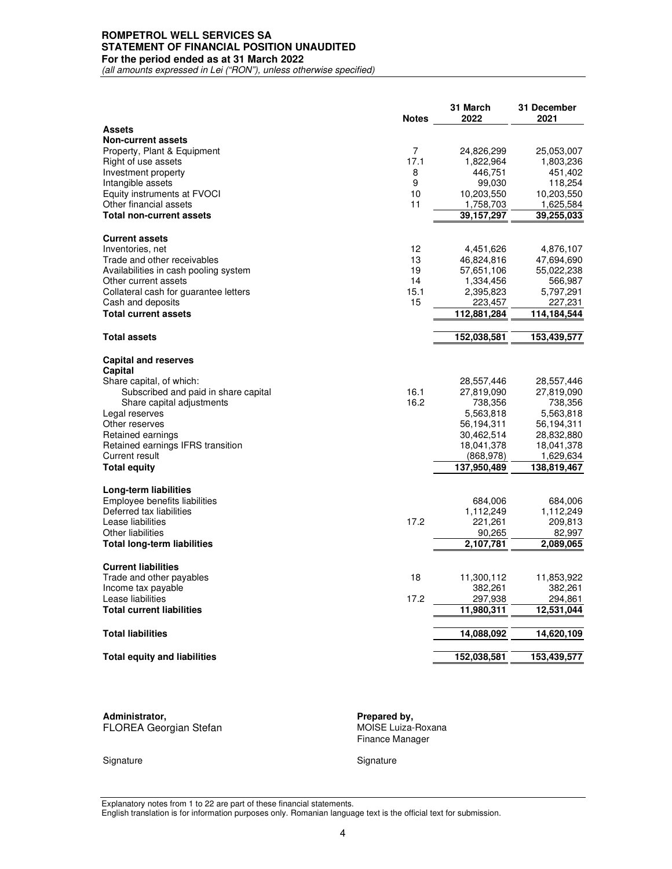#### **ROMPETROL WELL SERVICES SA STATEMENT OF FINANCIAL POSITION UNAUDITED For the period ended as at 31 March 2022**

*(all amounts expressed in Lei ("RON"), unless otherwise specified)* 

|                                                                   | <b>Notes</b> | 31 March<br>2022      | 31 December<br>2021      |
|-------------------------------------------------------------------|--------------|-----------------------|--------------------------|
| <b>Assets</b>                                                     |              |                       |                          |
| <b>Non-current assets</b>                                         |              |                       |                          |
| Property, Plant & Equipment                                       | 7            | 24,826,299            | 25,053,007               |
| Right of use assets                                               | 17.1         | 1,822,964             | 1,803,236                |
| Investment property                                               | 8            | 446,751               | 451,402                  |
| Intangible assets                                                 | 9            | 99,030                | 118,254                  |
| Equity instruments at FVOCI                                       | 10           | 10,203,550            | 10,203,550               |
| Other financial assets                                            | 11           | 1,758,703             | 1,625,584                |
| <b>Total non-current assets</b>                                   |              | 39,157,297            | 39,255,033               |
| <b>Current assets</b>                                             |              |                       |                          |
| Inventories, net                                                  | 12           | 4,451,626             | 4,876,107                |
| Trade and other receivables                                       | 13           | 46,824,816            | 47,694,690               |
| Availabilities in cash pooling system                             | 19           | 57,651,106            | 55,022,238               |
| Other current assets                                              | 14           | 1,334,456             | 566,987                  |
| Collateral cash for guarantee letters                             | 15.1         | 2,395,823             | 5,797,291                |
| Cash and deposits                                                 | 15           | 223,457               | 227,231                  |
| <b>Total current assets</b>                                       |              | 112,881,284           | 114,184,544              |
| <b>Total assets</b>                                               |              | 152,038,581           | 153,439,577              |
|                                                                   |              |                       |                          |
| <b>Capital and reserves</b>                                       |              |                       |                          |
| Capital<br>Share capital, of which:                               |              |                       |                          |
|                                                                   | 16.1         | 28,557,446            | 28,557,446<br>27,819,090 |
| Subscribed and paid in share capital<br>Share capital adjustments | 16.2         | 27,819,090<br>738,356 | 738,356                  |
| Legal reserves                                                    |              | 5,563,818             | 5,563,818                |
| Other reserves                                                    |              | 56,194,311            | 56,194,311               |
| Retained earnings                                                 |              | 30,462,514            | 28,832,880               |
| Retained earnings IFRS transition                                 |              | 18,041,378            | 18,041,378               |
| Current result                                                    |              | (868, 978)            | 1,629,634                |
| <b>Total equity</b>                                               |              | 137,950,489           | 138,819,467              |
|                                                                   |              |                       |                          |
| Long-term liabilities<br>Employee benefits liabilities            |              |                       | 684,006                  |
| Deferred tax liabilities                                          |              | 684,006               |                          |
| Lease liabilities                                                 | 17.2         | 1,112,249             | 1,112,249<br>209,813     |
| <b>Other liabilities</b>                                          |              | 221,261<br>90,265     | 82,997                   |
| <b>Total long-term liabilities</b>                                |              | 2,107,781             | 2,089,065                |
|                                                                   |              |                       |                          |
| <b>Current liabilities</b>                                        |              |                       |                          |
| Trade and other payables                                          | 18           | 11,300,112            | 11,853,922               |
| Income tax payable                                                |              | 382,261               | 382,261                  |
| Lease liabilities                                                 | 17.2         | 297,938               | 294,861                  |
| <b>Total current liabilities</b>                                  |              | 11,980,311            | 12,531,044               |
| <b>Total liabilities</b>                                          |              | 14,088,092            | 14,620,109               |
| <b>Total equity and liabilities</b>                               |              | 152,038,581           | 153,439,577              |
|                                                                   |              |                       |                          |

| Administrator.<br>FLOREA Georgian Stefan | Prepared by,<br>MOISE Luiza-Roxana<br>Finance Manager |
|------------------------------------------|-------------------------------------------------------|
| Signature                                | Signature                                             |

Explanatory notes from 1 to 22 are part of these financial statements.

English translation is for information purposes only. Romanian language text is the official text for submission.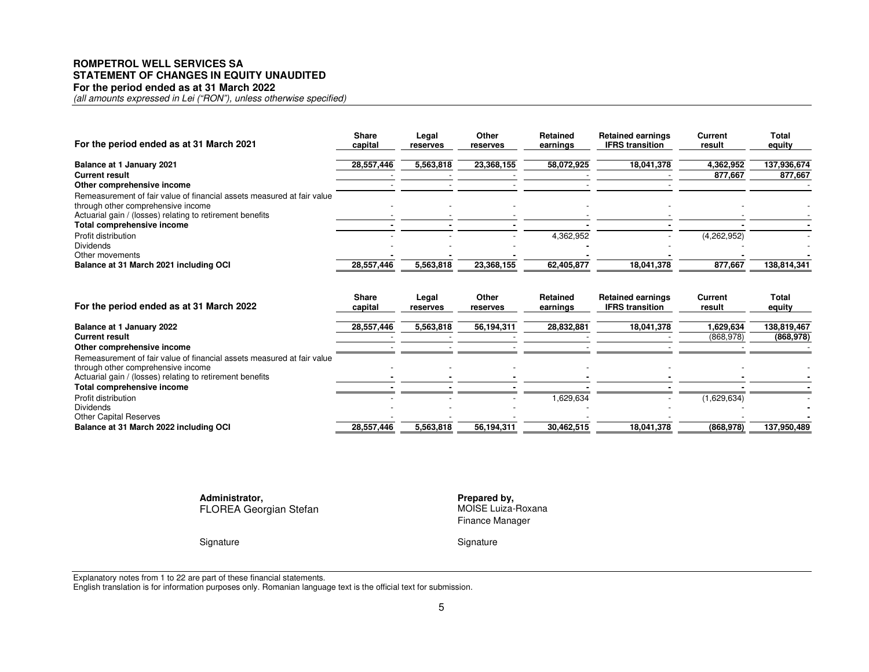#### **ROMPETROL WELL SERVICES SA STATEMENT OF CHANGES IN EQUITY UNAUDITED For the period ended as at 31 March 2022**

*(all amounts expressed in Lei ("RON"), unless otherwise specified)* 

| For the period ended as at 31 March 2021                               | <b>Share</b><br>capital | Legal<br>reserves | Other<br>reserves | Retained<br>earnings | <b>Retained earnings</b><br><b>IFRS</b> transition | Current<br>result | Total<br>equity |
|------------------------------------------------------------------------|-------------------------|-------------------|-------------------|----------------------|----------------------------------------------------|-------------------|-----------------|
| Balance at 1 January 2021                                              | 28,557,446              | 5,563,818         | 23,368,155        | 58,072,925           | 18,041,378                                         | 4,362,952         | 137,936,674     |
| <b>Current result</b>                                                  |                         |                   |                   |                      |                                                    | 877.667           | 877.667         |
| Other comprehensive income                                             |                         |                   |                   |                      |                                                    |                   |                 |
| Remeasurement of fair value of financial assets measured at fair value |                         |                   |                   |                      |                                                    |                   |                 |
| through other comprehensive income                                     |                         |                   |                   |                      |                                                    |                   |                 |
| Actuarial gain / (losses) relating to retirement benefits              |                         |                   |                   |                      |                                                    |                   |                 |
| Total comprehensive income                                             |                         |                   |                   |                      |                                                    |                   |                 |
| Profit distribution                                                    |                         |                   |                   | 4,362,952            |                                                    | (4,262,952)       |                 |
| <b>Dividends</b>                                                       |                         |                   |                   |                      |                                                    |                   |                 |
| Other movements                                                        |                         |                   |                   |                      |                                                    |                   |                 |
| Balance at 31 March 2021 including OCI                                 | 28,557,446              | 5,563,818         | 23,368,155        | 62,405,877           | 18,041,378                                         | 877,667           | 138,814,341     |

| For the period ended as at 31 March 2022                               | <b>Share</b><br>capital | Legal<br>reserves | Other<br>reserves | Retained<br>earnings | <b>Retained earnings</b><br><b>IFRS</b> transition | <b>Current</b><br>result | <b>Total</b><br>equity |
|------------------------------------------------------------------------|-------------------------|-------------------|-------------------|----------------------|----------------------------------------------------|--------------------------|------------------------|
| Balance at 1 January 2022                                              | 28,557,446              | 5,563,818         | 56.194.311        | 28.832.881           | 18.041.378                                         | 1.629.634                | 138,819,467            |
| <b>Current result</b><br>Other comprehensive income                    |                         |                   |                   |                      |                                                    | (868, 978)               | (868, 978)             |
| Remeasurement of fair value of financial assets measured at fair value |                         |                   |                   |                      |                                                    |                          |                        |
| through other comprehensive income                                     |                         |                   |                   |                      |                                                    |                          |                        |
| Actuarial gain / (losses) relating to retirement benefits              |                         |                   |                   |                      |                                                    |                          |                        |
| Total comprehensive income                                             |                         |                   |                   |                      |                                                    |                          |                        |
| Profit distribution                                                    |                         |                   |                   | 629,634              |                                                    | (1,629,634)              |                        |
| <b>Dividends</b>                                                       |                         |                   |                   |                      |                                                    |                          |                        |
| <b>Other Capital Reserves</b>                                          |                         |                   |                   |                      |                                                    |                          |                        |
| Balance at 31 March 2022 including OCI                                 | 28,557,446              | 5,563,818         | 56,194,311        | 30,462,515           | 18,041,378                                         | (868, 978)               | 137,950,489            |

**Administrator,**FLOREA Georgian Stefan

 **Prepared by,** MOISE Luiza-Roxana Finance Manager

Signature Signature Signature Signature Signature

Explanatory notes from 1 to 22 are part of these financial statements. English translation is for information purposes only. Romanian language text is the official text for submission.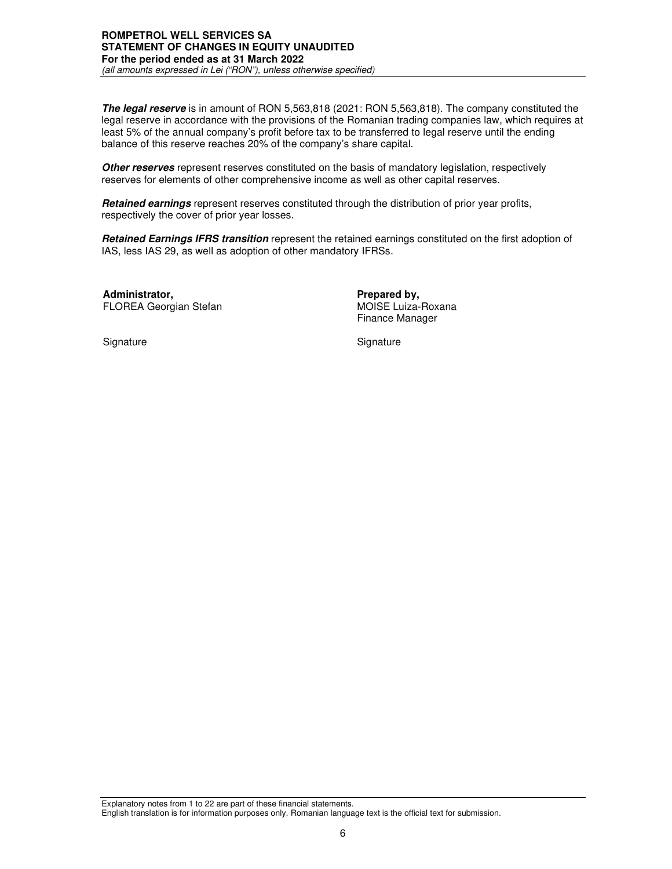# **ROMPETROL WELL SERVICES SA STATEMENT OF CHANGES IN EQUITY UNAUDITED For the period ended as at 31 March 2022**

*(all amounts expressed in Lei ("RON"), unless otherwise specified)* 

**The legal reserve** is in amount of RON 5,563,818 (2021: RON 5,563,818). The company constituted the legal reserve in accordance with the provisions of the Romanian trading companies law, which requires at least 5% of the annual company's profit before tax to be transferred to legal reserve until the ending balance of this reserve reaches 20% of the company's share capital.

**Other reserves** represent reserves constituted on the basis of mandatory legislation, respectively reserves for elements of other comprehensive income as well as other capital reserves.

**Retained earnings** represent reserves constituted through the distribution of prior year profits, respectively the cover of prior year losses.

**Retained Earnings IFRS transition** represent the retained earnings constituted on the first adoption of IAS, less IAS 29, as well as adoption of other mandatory IFRSs.

**Administrator,** *Prepared by,* **Prepared by, Prepared by, Prepared by, Prepared by, Prepared by, Prepared by, Prepared by, Prepared by, Prepared by, Prepared by, Prepared by, Prepared by, Prepared by, Prepared by, Prepared** FLOREA Georgian Stefan

Finance Manager

Signature Signature Signature Signature Signature Signature Signature Signature Signature Signature Signature Signature Signature Signature Signature Signature Signature Signature Signature Signature Signature Signature Si

Explanatory notes from 1 to 22 are part of these financial statements. English translation is for information purposes only. Romanian language text is the official text for submission.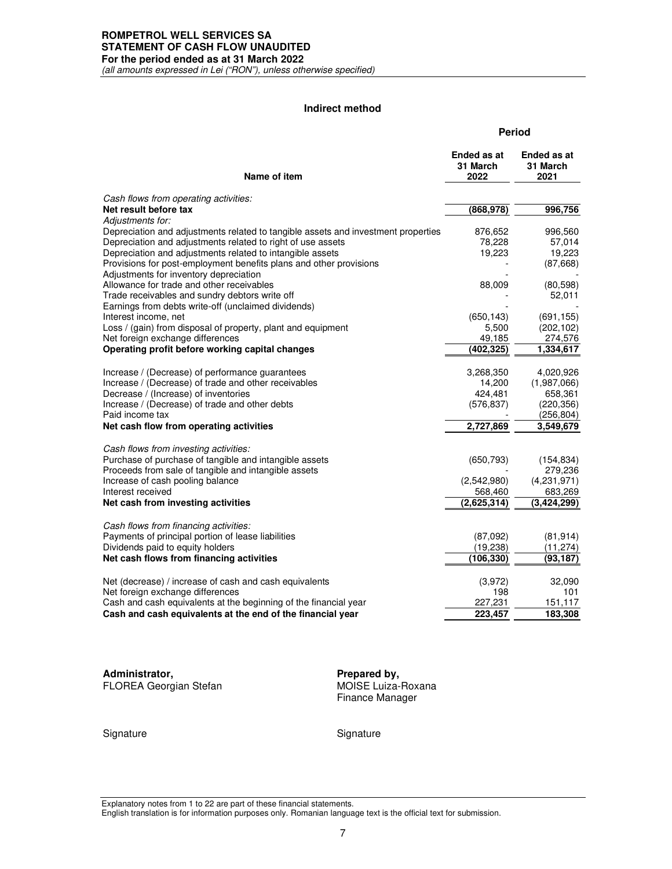#### **ROMPETROL WELL SERVICES SA STATEMENT OF CASH FLOW UNAUDITED For the period ended as at 31 March 2022**

*(all amounts expressed in Lei ("RON"), unless otherwise specified)*

## **Indirect method**

|                                                                                                                                 | <b>Period</b>                   |                                 |  |
|---------------------------------------------------------------------------------------------------------------------------------|---------------------------------|---------------------------------|--|
| Name of item                                                                                                                    | Ended as at<br>31 March<br>2022 | Ended as at<br>31 March<br>2021 |  |
| Cash flows from operating activities:                                                                                           |                                 |                                 |  |
| Net result before tax                                                                                                           | (868, 978)                      | 996,756                         |  |
| Adjustments for:                                                                                                                |                                 |                                 |  |
| Depreciation and adjustments related to tangible assets and investment properties                                               | 876,652                         | 996,560                         |  |
| Depreciation and adjustments related to right of use assets                                                                     | 78,228                          | 57,014                          |  |
| Depreciation and adjustments related to intangible assets<br>Provisions for post-employment benefits plans and other provisions | 19,223                          | 19,223<br>(87,668)              |  |
| Adjustments for inventory depreciation                                                                                          |                                 |                                 |  |
| Allowance for trade and other receivables                                                                                       | 88,009                          | (80, 598)                       |  |
| Trade receivables and sundry debtors write off                                                                                  |                                 | 52,011                          |  |
| Earnings from debts write-off (unclaimed dividends)                                                                             |                                 |                                 |  |
| Interest income, net                                                                                                            | (650, 143)                      | (691, 155)                      |  |
| Loss / (gain) from disposal of property, plant and equipment<br>Net foreign exchange differences                                | 5,500<br>49,185                 | (202, 102)<br>274,576           |  |
| Operating profit before working capital changes                                                                                 | (402,325)                       | 1,334,617                       |  |
|                                                                                                                                 |                                 |                                 |  |
| Increase / (Decrease) of performance guarantees                                                                                 | 3,268,350                       | 4,020,926                       |  |
| Increase / (Decrease) of trade and other receivables                                                                            | 14,200                          | (1,987,066)                     |  |
| Decrease / (Increase) of inventories                                                                                            | 424,481                         | 658,361                         |  |
| Increase / (Decrease) of trade and other debts                                                                                  | (576, 837)                      | (220, 356)                      |  |
| Paid income tax                                                                                                                 |                                 | (256,804)                       |  |
| Net cash flow from operating activities                                                                                         | 2,727,869                       | 3,549,679                       |  |
| Cash flows from investing activities:                                                                                           |                                 |                                 |  |
| Purchase of purchase of tangible and intangible assets                                                                          | (650, 793)                      | (154, 834)                      |  |
| Proceeds from sale of tangible and intangible assets                                                                            |                                 | 279,236                         |  |
| Increase of cash pooling balance                                                                                                | (2,542,980)                     | (4,231,971)                     |  |
| Interest received<br>Net cash from investing activities                                                                         | 568,460<br>(2,625,314)          | 683,269<br>(3,424,299)          |  |
|                                                                                                                                 |                                 |                                 |  |
| Cash flows from financing activities:                                                                                           |                                 |                                 |  |
| Payments of principal portion of lease liabilities                                                                              | (87,092)                        | (81, 914)                       |  |
| Dividends paid to equity holders                                                                                                | (19, 238)                       | (11, 274)                       |  |
| Net cash flows from financing activities                                                                                        | (106,330)                       | (93,187)                        |  |
| Net (decrease) / increase of cash and cash equivalents                                                                          | (3,972)                         | 32,090                          |  |
| Net foreign exchange differences                                                                                                | 198                             | 101                             |  |
| Cash and cash equivalents at the beginning of the financial year                                                                | 227,231                         | 151,117                         |  |
| Cash and cash equivalents at the end of the financial year                                                                      | 223,457                         | 183,308                         |  |
|                                                                                                                                 |                                 |                                 |  |

**Administrator,** *Prepared by,*<br> **Prepared by,**<br> **PROREA Georgian Stefan** FLOREA Georgian Stefan

Finance Manager

Signature Signature Signature

Explanatory notes from 1 to 22 are part of these financial statements.

English translation is for information purposes only. Romanian language text is the official text for submission.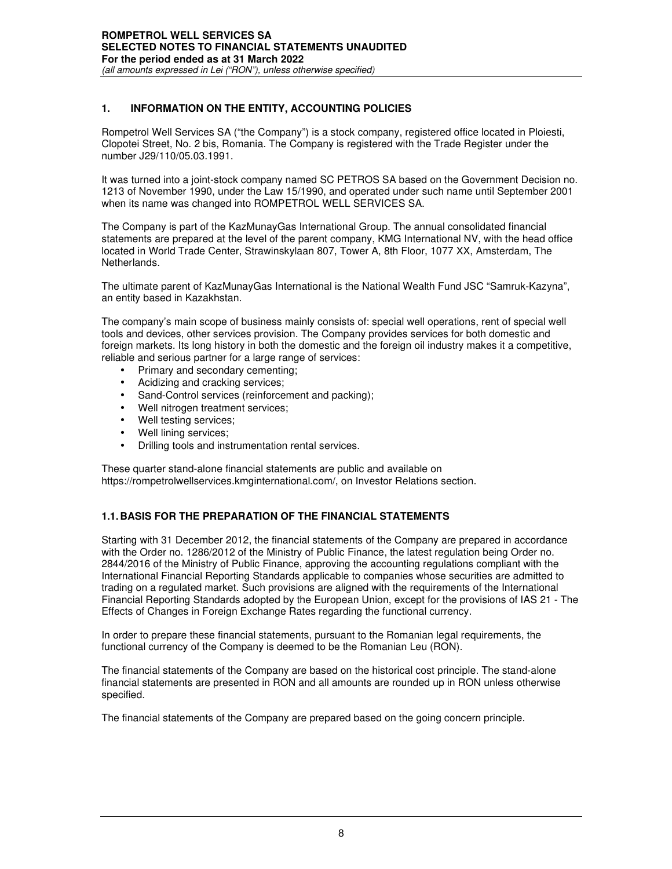# **1. INFORMATION ON THE ENTITY, ACCOUNTING POLICIES**

Rompetrol Well Services SA ("the Company") is a stock company, registered office located in Ploiesti, Clopotei Street, No. 2 bis, Romania. The Company is registered with the Trade Register under the number J29/110/05.03.1991.

It was turned into a joint-stock company named SC PETROS SA based on the Government Decision no. 1213 of November 1990, under the Law 15/1990, and operated under such name until September 2001 when its name was changed into ROMPETROL WELL SERVICES SA.

The Company is part of the KazMunayGas International Group. The annual consolidated financial statements are prepared at the level of the parent company, KMG International NV, with the head office located in World Trade Center, Strawinskylaan 807, Tower A, 8th Floor, 1077 XX, Amsterdam, The Netherlands.

The ultimate parent of KazMunayGas International is the National Wealth Fund JSC "Samruk-Kazyna", an entity based in Kazakhstan.

The company's main scope of business mainly consists of: special well operations, rent of special well tools and devices, other services provision. The Company provides services for both domestic and foreign markets. Its long history in both the domestic and the foreign oil industry makes it a competitive, reliable and serious partner for a large range of services:

- Primary and secondary cementing;
- Acidizing and cracking services:
- Sand-Control services (reinforcement and packing);
- Well nitrogen treatment services;
- Well testing services:
- Well lining services;
- Drilling tools and instrumentation rental services.

These quarter stand-alone financial statements are public and available on https://rompetrolwellservices.kmginternational.com/, on Investor Relations section.

# **1.1. BASIS FOR THE PREPARATION OF THE FINANCIAL STATEMENTS**

Starting with 31 December 2012, the financial statements of the Company are prepared in accordance with the Order no. 1286/2012 of the Ministry of Public Finance, the latest regulation being Order no. 2844/2016 of the Ministry of Public Finance, approving the accounting regulations compliant with the International Financial Reporting Standards applicable to companies whose securities are admitted to trading on a regulated market. Such provisions are aligned with the requirements of the International Financial Reporting Standards adopted by the European Union, except for the provisions of IAS 21 - The Effects of Changes in Foreign Exchange Rates regarding the functional currency.

In order to prepare these financial statements, pursuant to the Romanian legal requirements, the functional currency of the Company is deemed to be the Romanian Leu (RON).

The financial statements of the Company are based on the historical cost principle. The stand-alone financial statements are presented in RON and all amounts are rounded up in RON unless otherwise specified.

The financial statements of the Company are prepared based on the going concern principle.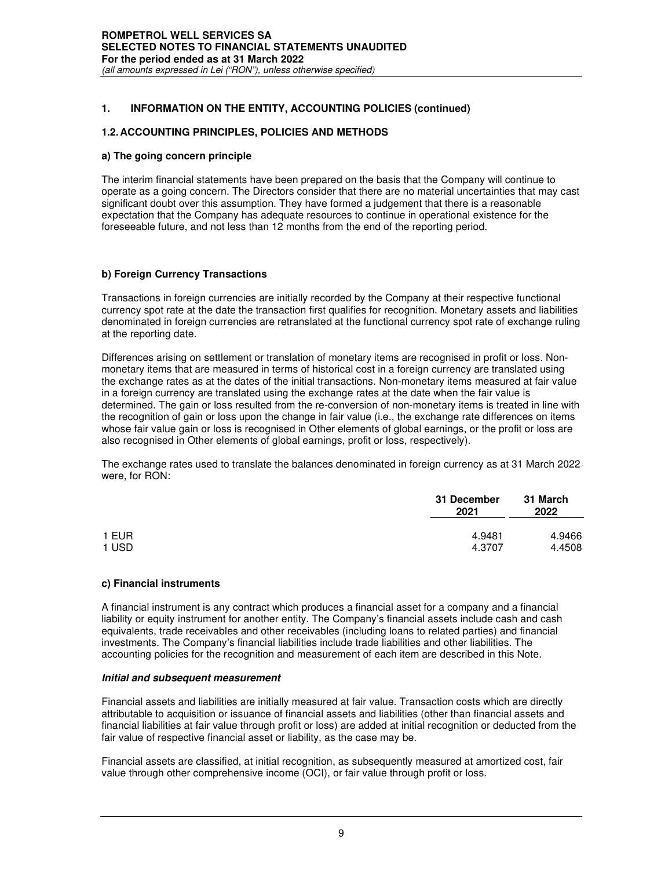#### **ROMPETROL WELL SERVICES SA SELECTED NOTES TO FINANCIAL STATEMENTS UNAUDITED For the period ended as at 31 March 2022**  *(all amounts expressed in Lei ("RON"), unless otherwise specified)*

## **1. INFORMATION ON THE ENTITY, ACCOUNTING POLICIES (continued)**

#### **1.2. ACCOUNTING PRINCIPLES, POLICIES AND METHODS**

#### **a) The going concern principle**

The interim financial statements have been prepared on the basis that the Company will continue to operate as a going concern. The Directors consider that there are no material uncertainties that may cast significant doubt over this assumption. They have formed a judgement that there is a reasonable expectation that the Company has adequate resources to continue in operational existence for the foreseeable future, and not less than 12 months from the end of the reporting period.

#### **b) Foreign Currency Transactions**

Transactions in foreign currencies are initially recorded by the Company at their respective functional currency spot rate at the date the transaction first qualifies for recognition. Monetary assets and liabilities denominated in foreign currencies are retranslated at the functional currency spot rate of exchange ruling at the reporting date.

Differences arising on settlement or translation of monetary items are recognised in profit or loss. Nonmonetary items that are measured in terms of historical cost in a foreign currency are translated using the exchange rates as at the dates of the initial transactions. Non-monetary items measured at fair value in a foreign currency are translated using the exchange rates at the date when the fair value is determined. The gain or loss resulted from the re-conversion of non-monetary items is treated in line with the recognition of gain or loss upon the change in fair value (i.e., the exchange rate differences on items whose fair value gain or loss is recognised in Other elements of global earnings, or the profit or loss are also recognised in Other elements of global earnings, profit or loss, respectively).

The exchange rates used to translate the balances denominated in foreign currency as at 31 March 2022 were, for RON:

|       | 31 December<br>2021 | 31 March<br>2022 |
|-------|---------------------|------------------|
| 1 EUR | 4.9481              | 4.9466           |
| 1 USD | 4.3707              | 4.4508           |

#### **c) Financial instruments**

A financial instrument is any contract which produces a financial asset for a company and a financial liability or equity instrument for another entity. The Company's financial assets include cash and cash equivalents, trade receivables and other receivables (including loans to related parties) and financial investments. The Company's financial liabilities include trade liabilities and other liabilities. The accounting policies for the recognition and measurement of each item are described in this Note.

#### **Initial and subsequent measurement**

Financial assets and liabilities are initially measured at fair value. Transaction costs which are directly attributable to acquisition or issuance of financial assets and liabilities (other than financial assets and financial liabilities at fair value through profit or loss) are added at initial recognition or deducted from the fair value of respective financial asset or liability, as the case may be.

Financial assets are classified, at initial recognition, as subsequently measured at amortized cost, fair value through other comprehensive income (OCI), or fair value through profit or loss.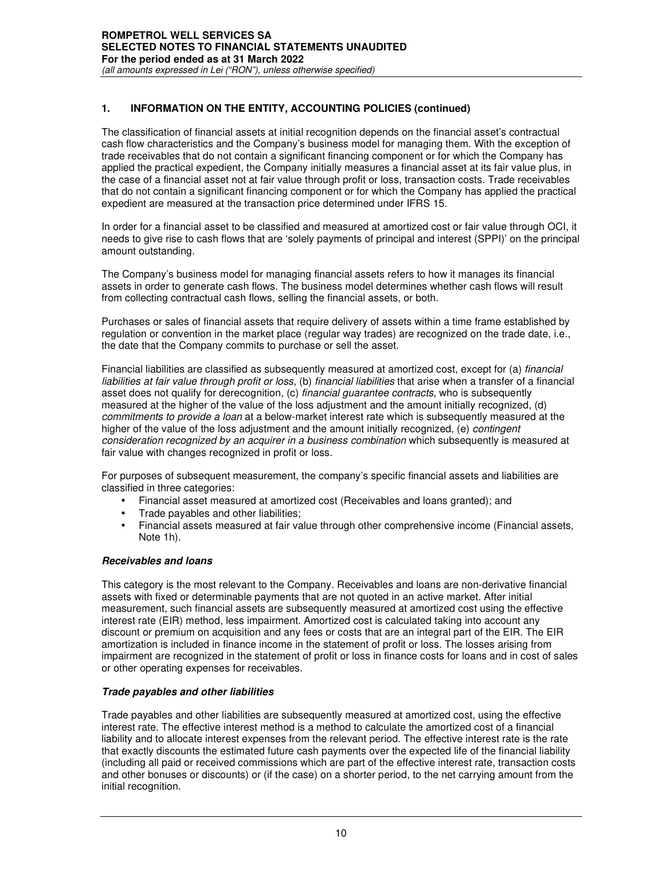The classification of financial assets at initial recognition depends on the financial asset's contractual cash flow characteristics and the Company's business model for managing them. With the exception of trade receivables that do not contain a significant financing component or for which the Company has applied the practical expedient, the Company initially measures a financial asset at its fair value plus, in the case of a financial asset not at fair value through profit or loss, transaction costs. Trade receivables that do not contain a significant financing component or for which the Company has applied the practical expedient are measured at the transaction price determined under IFRS 15.

In order for a financial asset to be classified and measured at amortized cost or fair value through OCI, it needs to give rise to cash flows that are 'solely payments of principal and interest (SPPI)' on the principal amount outstanding.

The Company's business model for managing financial assets refers to how it manages its financial assets in order to generate cash flows. The business model determines whether cash flows will result from collecting contractual cash flows, selling the financial assets, or both.

Purchases or sales of financial assets that require delivery of assets within a time frame established by regulation or convention in the market place (regular way trades) are recognized on the trade date, i.e., the date that the Company commits to purchase or sell the asset.

Financial liabilities are classified as subsequently measured at amortized cost, except for (a) *financial liabilities at fair value through profit or loss*, (b) *financial liabilities* that arise when a transfer of a financial asset does not qualify for derecognition, (c) *financial guarantee contracts*, who is subsequently measured at the higher of the value of the loss adjustment and the amount initially recognized, (d) *commitments to provide a loan* at a below-market interest rate which is subsequently measured at the higher of the value of the loss adjustment and the amount initially recognized, (e) *contingent consideration recognized by an acquirer in a business combination* which subsequently is measured at fair value with changes recognized in profit or loss.

For purposes of subsequent measurement, the company's specific financial assets and liabilities are classified in three categories:

- Financial asset measured at amortized cost (Receivables and loans granted); and
- Trade payables and other liabilities;
- Financial assets measured at fair value through other comprehensive income (Financial assets, Note 1h).

## **Receivables and loans**

This category is the most relevant to the Company. Receivables and loans are non-derivative financial assets with fixed or determinable payments that are not quoted in an active market. After initial measurement, such financial assets are subsequently measured at amortized cost using the effective interest rate (EIR) method, less impairment. Amortized cost is calculated taking into account any discount or premium on acquisition and any fees or costs that are an integral part of the EIR. The EIR amortization is included in finance income in the statement of profit or loss. The losses arising from impairment are recognized in the statement of profit or loss in finance costs for loans and in cost of sales or other operating expenses for receivables.

## **Trade payables and other liabilities**

Trade payables and other liabilities are subsequently measured at amortized cost, using the effective interest rate. The effective interest method is a method to calculate the amortized cost of a financial liability and to allocate interest expenses from the relevant period. The effective interest rate is the rate that exactly discounts the estimated future cash payments over the expected life of the financial liability (including all paid or received commissions which are part of the effective interest rate, transaction costs and other bonuses or discounts) or (if the case) on a shorter period, to the net carrying amount from the initial recognition.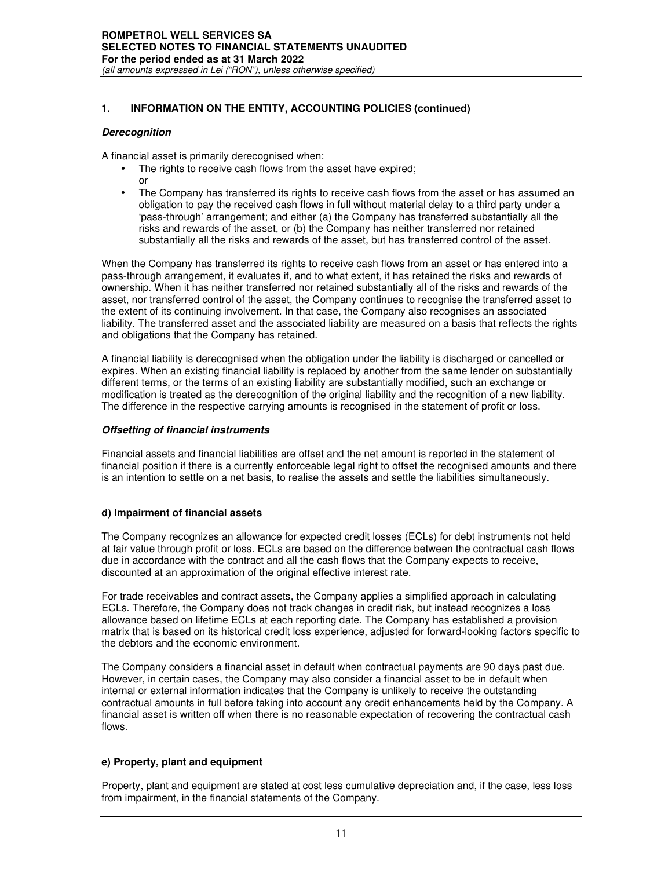#### **Derecognition**

A financial asset is primarily derecognised when:

- The rights to receive cash flows from the asset have expired; or
- The Company has transferred its rights to receive cash flows from the asset or has assumed an obligation to pay the received cash flows in full without material delay to a third party under a 'pass-through' arrangement; and either (a) the Company has transferred substantially all the risks and rewards of the asset, or (b) the Company has neither transferred nor retained substantially all the risks and rewards of the asset, but has transferred control of the asset.

When the Company has transferred its rights to receive cash flows from an asset or has entered into a pass-through arrangement, it evaluates if, and to what extent, it has retained the risks and rewards of ownership. When it has neither transferred nor retained substantially all of the risks and rewards of the asset, nor transferred control of the asset, the Company continues to recognise the transferred asset to the extent of its continuing involvement. In that case, the Company also recognises an associated liability. The transferred asset and the associated liability are measured on a basis that reflects the rights and obligations that the Company has retained.

A financial liability is derecognised when the obligation under the liability is discharged or cancelled or expires. When an existing financial liability is replaced by another from the same lender on substantially different terms, or the terms of an existing liability are substantially modified, such an exchange or modification is treated as the derecognition of the original liability and the recognition of a new liability. The difference in the respective carrying amounts is recognised in the statement of profit or loss.

#### **Offsetting of financial instruments**

Financial assets and financial liabilities are offset and the net amount is reported in the statement of financial position if there is a currently enforceable legal right to offset the recognised amounts and there is an intention to settle on a net basis, to realise the assets and settle the liabilities simultaneously.

## **d) Impairment of financial assets**

The Company recognizes an allowance for expected credit losses (ECLs) for debt instruments not held at fair value through profit or loss. ECLs are based on the difference between the contractual cash flows due in accordance with the contract and all the cash flows that the Company expects to receive, discounted at an approximation of the original effective interest rate.

For trade receivables and contract assets, the Company applies a simplified approach in calculating ECLs. Therefore, the Company does not track changes in credit risk, but instead recognizes a loss allowance based on lifetime ECLs at each reporting date. The Company has established a provision matrix that is based on its historical credit loss experience, adjusted for forward-looking factors specific to the debtors and the economic environment.

The Company considers a financial asset in default when contractual payments are 90 days past due. However, in certain cases, the Company may also consider a financial asset to be in default when internal or external information indicates that the Company is unlikely to receive the outstanding contractual amounts in full before taking into account any credit enhancements held by the Company. A financial asset is written off when there is no reasonable expectation of recovering the contractual cash flows.

## **e) Property, plant and equipment**

Property, plant and equipment are stated at cost less cumulative depreciation and, if the case, less loss from impairment, in the financial statements of the Company.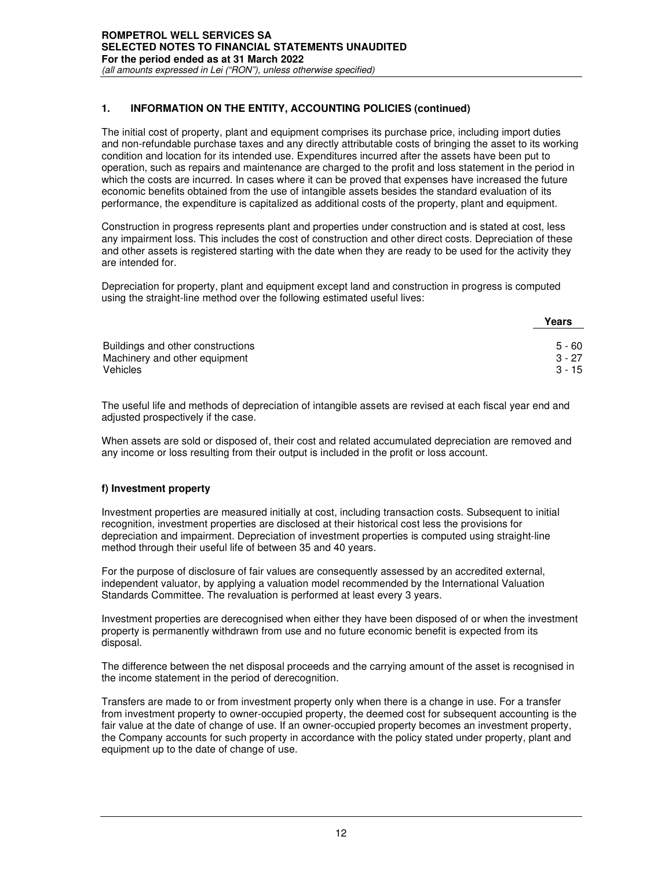The initial cost of property, plant and equipment comprises its purchase price, including import duties and non-refundable purchase taxes and any directly attributable costs of bringing the asset to its working condition and location for its intended use. Expenditures incurred after the assets have been put to operation, such as repairs and maintenance are charged to the profit and loss statement in the period in which the costs are incurred. In cases where it can be proved that expenses have increased the future economic benefits obtained from the use of intangible assets besides the standard evaluation of its performance, the expenditure is capitalized as additional costs of the property, plant and equipment.

Construction in progress represents plant and properties under construction and is stated at cost, less any impairment loss. This includes the cost of construction and other direct costs. Depreciation of these and other assets is registered starting with the date when they are ready to be used for the activity they are intended for.

Depreciation for property, plant and equipment except land and construction in progress is computed using the straight-line method over the following estimated useful lives:

|                                   | Years    |
|-----------------------------------|----------|
| Buildings and other constructions | 5 - 60   |
| Machinery and other equipment     | $3 - 27$ |
| Vehicles                          | $3 - 15$ |

The useful life and methods of depreciation of intangible assets are revised at each fiscal year end and adjusted prospectively if the case.

When assets are sold or disposed of, their cost and related accumulated depreciation are removed and any income or loss resulting from their output is included in the profit or loss account.

## **f) Investment property**

Investment properties are measured initially at cost, including transaction costs. Subsequent to initial recognition, investment properties are disclosed at their historical cost less the provisions for depreciation and impairment. Depreciation of investment properties is computed using straight-line method through their useful life of between 35 and 40 years.

For the purpose of disclosure of fair values are consequently assessed by an accredited external, independent valuator, by applying a valuation model recommended by the International Valuation Standards Committee. The revaluation is performed at least every 3 years.

Investment properties are derecognised when either they have been disposed of or when the investment property is permanently withdrawn from use and no future economic benefit is expected from its disposal.

The difference between the net disposal proceeds and the carrying amount of the asset is recognised in the income statement in the period of derecognition.

Transfers are made to or from investment property only when there is a change in use. For a transfer from investment property to owner-occupied property, the deemed cost for subsequent accounting is the fair value at the date of change of use. If an owner-occupied property becomes an investment property, the Company accounts for such property in accordance with the policy stated under property, plant and equipment up to the date of change of use.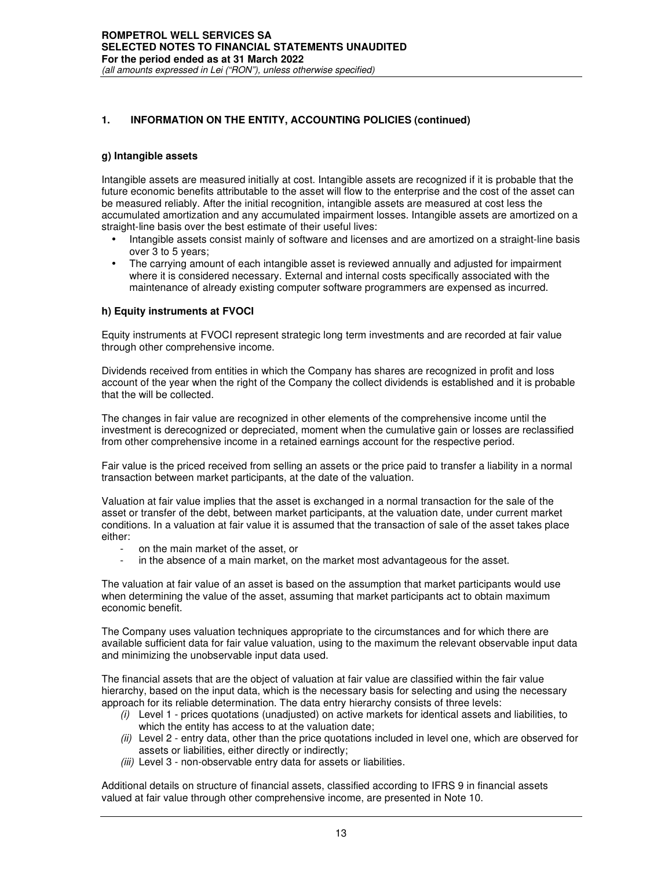#### **g) Intangible assets**

Intangible assets are measured initially at cost. Intangible assets are recognized if it is probable that the future economic benefits attributable to the asset will flow to the enterprise and the cost of the asset can be measured reliably. After the initial recognition, intangible assets are measured at cost less the accumulated amortization and any accumulated impairment losses. Intangible assets are amortized on a straight-line basis over the best estimate of their useful lives:

- Intangible assets consist mainly of software and licenses and are amortized on a straight-line basis over 3 to 5 years;
- The carrying amount of each intangible asset is reviewed annually and adjusted for impairment where it is considered necessary. External and internal costs specifically associated with the maintenance of already existing computer software programmers are expensed as incurred.

## **h) Equity instruments at FVOCI**

Equity instruments at FVOCI represent strategic long term investments and are recorded at fair value through other comprehensive income.

Dividends received from entities in which the Company has shares are recognized in profit and loss account of the year when the right of the Company the collect dividends is established and it is probable that the will be collected.

The changes in fair value are recognized in other elements of the comprehensive income until the investment is derecognized or depreciated, moment when the cumulative gain or losses are reclassified from other comprehensive income in a retained earnings account for the respective period.

Fair value is the priced received from selling an assets or the price paid to transfer a liability in a normal transaction between market participants, at the date of the valuation.

Valuation at fair value implies that the asset is exchanged in a normal transaction for the sale of the asset or transfer of the debt, between market participants, at the valuation date, under current market conditions. In a valuation at fair value it is assumed that the transaction of sale of the asset takes place either:

- on the main market of the asset, or
- in the absence of a main market, on the market most advantageous for the asset.

The valuation at fair value of an asset is based on the assumption that market participants would use when determining the value of the asset, assuming that market participants act to obtain maximum economic benefit.

The Company uses valuation techniques appropriate to the circumstances and for which there are available sufficient data for fair value valuation, using to the maximum the relevant observable input data and minimizing the unobservable input data used.

The financial assets that are the object of valuation at fair value are classified within the fair value hierarchy, based on the input data, which is the necessary basis for selecting and using the necessary approach for its reliable determination. The data entry hierarchy consists of three levels:

- *(i)* Level 1 prices quotations (unadjusted) on active markets for identical assets and liabilities, to which the entity has access to at the valuation date;
- *(ii)* Level 2 entry data, other than the price quotations included in level one, which are observed for assets or liabilities, either directly or indirectly;
- *(iii)* Level 3 non-observable entry data for assets or liabilities.

Additional details on structure of financial assets, classified according to IFRS 9 in financial assets valued at fair value through other comprehensive income, are presented in Note 10.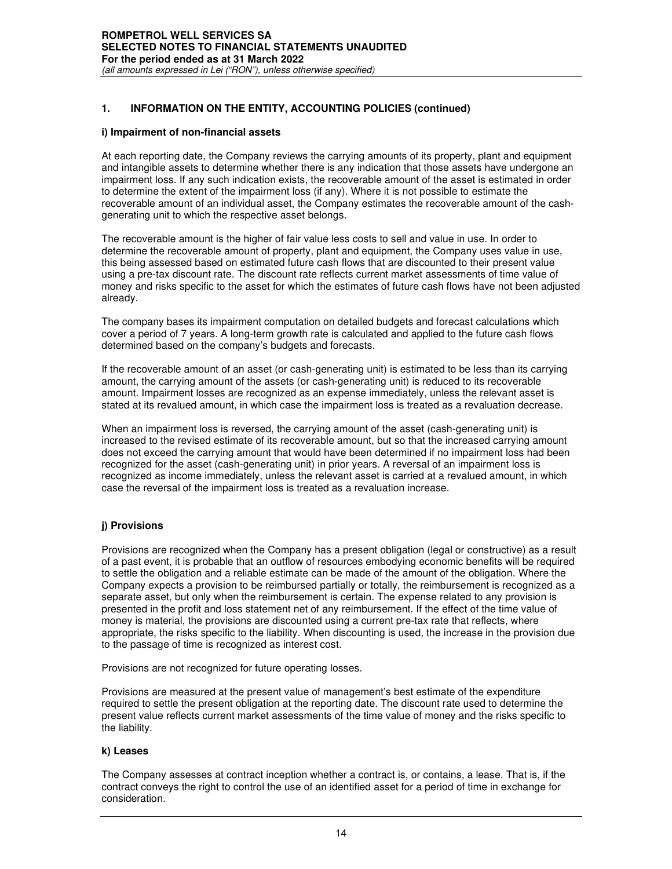#### **i) Impairment of non-financial assets**

At each reporting date, the Company reviews the carrying amounts of its property, plant and equipment and intangible assets to determine whether there is any indication that those assets have undergone an impairment loss. If any such indication exists, the recoverable amount of the asset is estimated in order to determine the extent of the impairment loss (if any). Where it is not possible to estimate the recoverable amount of an individual asset, the Company estimates the recoverable amount of the cashgenerating unit to which the respective asset belongs.

The recoverable amount is the higher of fair value less costs to sell and value in use. In order to determine the recoverable amount of property, plant and equipment, the Company uses value in use, this being assessed based on estimated future cash flows that are discounted to their present value using a pre-tax discount rate. The discount rate reflects current market assessments of time value of money and risks specific to the asset for which the estimates of future cash flows have not been adjusted already.

The company bases its impairment computation on detailed budgets and forecast calculations which cover a period of 7 years. A long-term growth rate is calculated and applied to the future cash flows determined based on the company's budgets and forecasts.

If the recoverable amount of an asset (or cash-generating unit) is estimated to be less than its carrying amount, the carrying amount of the assets (or cash-generating unit) is reduced to its recoverable amount. Impairment losses are recognized as an expense immediately, unless the relevant asset is stated at its revalued amount, in which case the impairment loss is treated as a revaluation decrease.

When an impairment loss is reversed, the carrying amount of the asset (cash-generating unit) is increased to the revised estimate of its recoverable amount, but so that the increased carrying amount does not exceed the carrying amount that would have been determined if no impairment loss had been recognized for the asset (cash-generating unit) in prior years. A reversal of an impairment loss is recognized as income immediately, unless the relevant asset is carried at a revalued amount, in which case the reversal of the impairment loss is treated as a revaluation increase.

## **j) Provisions**

Provisions are recognized when the Company has a present obligation (legal or constructive) as a result of a past event, it is probable that an outflow of resources embodying economic benefits will be required to settle the obligation and a reliable estimate can be made of the amount of the obligation. Where the Company expects a provision to be reimbursed partially or totally, the reimbursement is recognized as a separate asset, but only when the reimbursement is certain. The expense related to any provision is presented in the profit and loss statement net of any reimbursement. If the effect of the time value of money is material, the provisions are discounted using a current pre-tax rate that reflects, where appropriate, the risks specific to the liability. When discounting is used, the increase in the provision due to the passage of time is recognized as interest cost.

Provisions are not recognized for future operating losses.

Provisions are measured at the present value of management's best estimate of the expenditure required to settle the present obligation at the reporting date. The discount rate used to determine the present value reflects current market assessments of the time value of money and the risks specific to the liability.

## **k) Leases**

The Company assesses at contract inception whether a contract is, or contains, a lease. That is, if the contract conveys the right to control the use of an identified asset for a period of time in exchange for consideration.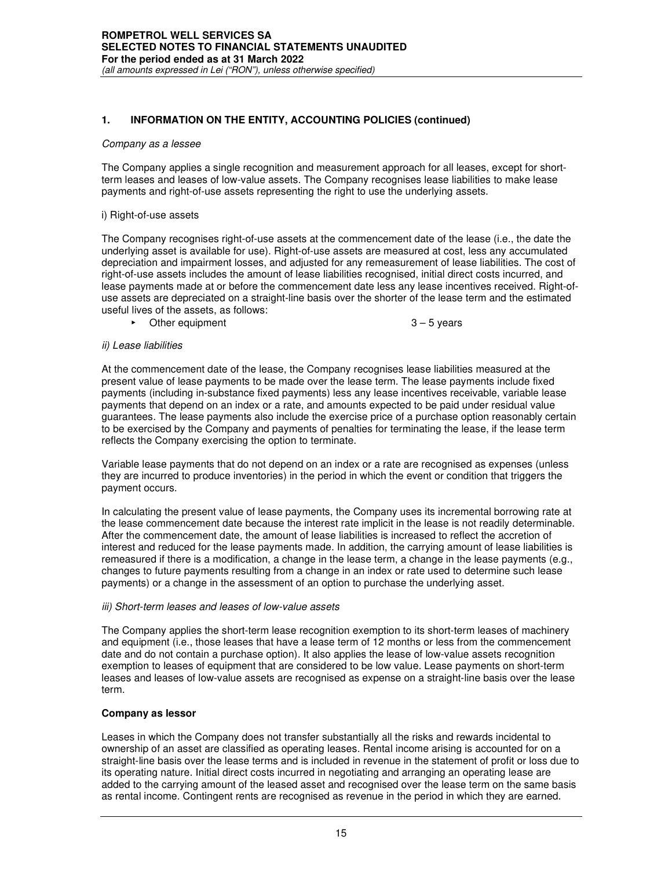#### *Company as a lessee*

The Company applies a single recognition and measurement approach for all leases, except for shortterm leases and leases of low-value assets. The Company recognises lease liabilities to make lease payments and right-of-use assets representing the right to use the underlying assets.

#### i) Right-of-use assets

The Company recognises right-of-use assets at the commencement date of the lease (i.e., the date the underlying asset is available for use). Right-of-use assets are measured at cost, less any accumulated depreciation and impairment losses, and adjusted for any remeasurement of lease liabilities. The cost of right-of-use assets includes the amount of lease liabilities recognised, initial direct costs incurred, and lease payments made at or before the commencement date less any lease incentives received. Right-ofuse assets are depreciated on a straight-line basis over the shorter of the lease term and the estimated useful lives of the assets, as follows:

► Other equipment 3 – 5 years

#### *ii) Lease liabilities*

At the commencement date of the lease, the Company recognises lease liabilities measured at the present value of lease payments to be made over the lease term. The lease payments include fixed payments (including in-substance fixed payments) less any lease incentives receivable, variable lease payments that depend on an index or a rate, and amounts expected to be paid under residual value guarantees. The lease payments also include the exercise price of a purchase option reasonably certain to be exercised by the Company and payments of penalties for terminating the lease, if the lease term reflects the Company exercising the option to terminate.

Variable lease payments that do not depend on an index or a rate are recognised as expenses (unless they are incurred to produce inventories) in the period in which the event or condition that triggers the payment occurs.

In calculating the present value of lease payments, the Company uses its incremental borrowing rate at the lease commencement date because the interest rate implicit in the lease is not readily determinable. After the commencement date, the amount of lease liabilities is increased to reflect the accretion of interest and reduced for the lease payments made. In addition, the carrying amount of lease liabilities is remeasured if there is a modification, a change in the lease term, a change in the lease payments (e.g., changes to future payments resulting from a change in an index or rate used to determine such lease payments) or a change in the assessment of an option to purchase the underlying asset.

## *iii) Short-term leases and leases of low-value assets*

The Company applies the short-term lease recognition exemption to its short-term leases of machinery and equipment (i.e., those leases that have a lease term of 12 months or less from the commencement date and do not contain a purchase option). It also applies the lease of low-value assets recognition exemption to leases of equipment that are considered to be low value. Lease payments on short-term leases and leases of low-value assets are recognised as expense on a straight-line basis over the lease term.

## **Company as lessor**

Leases in which the Company does not transfer substantially all the risks and rewards incidental to ownership of an asset are classified as operating leases. Rental income arising is accounted for on a straight-line basis over the lease terms and is included in revenue in the statement of profit or loss due to its operating nature. Initial direct costs incurred in negotiating and arranging an operating lease are added to the carrying amount of the leased asset and recognised over the lease term on the same basis as rental income. Contingent rents are recognised as revenue in the period in which they are earned.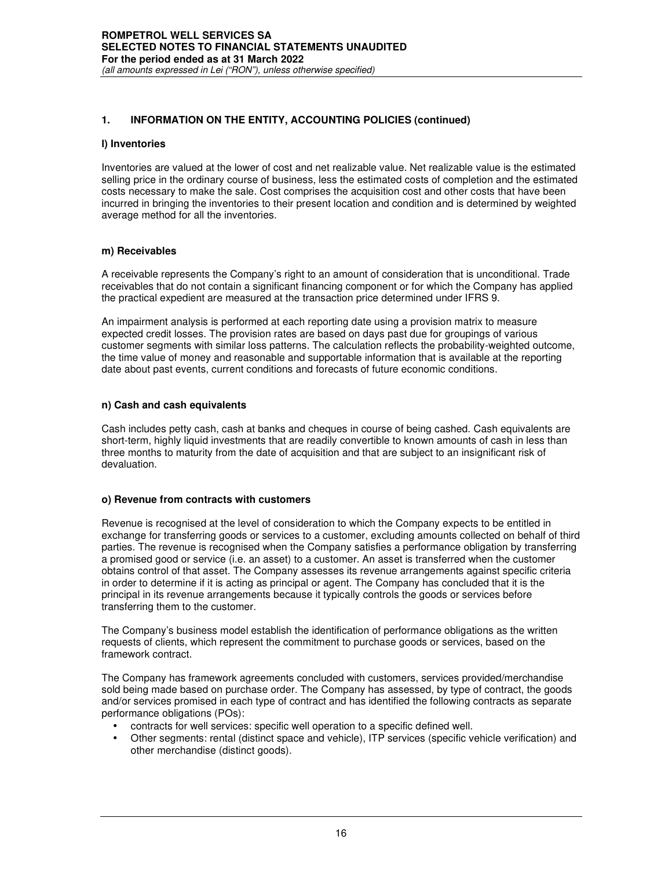#### **l) Inventories**

Inventories are valued at the lower of cost and net realizable value. Net realizable value is the estimated selling price in the ordinary course of business, less the estimated costs of completion and the estimated costs necessary to make the sale. Cost comprises the acquisition cost and other costs that have been incurred in bringing the inventories to their present location and condition and is determined by weighted average method for all the inventories.

#### **m) Receivables**

A receivable represents the Company's right to an amount of consideration that is unconditional. Trade receivables that do not contain a significant financing component or for which the Company has applied the practical expedient are measured at the transaction price determined under IFRS 9.

An impairment analysis is performed at each reporting date using a provision matrix to measure expected credit losses. The provision rates are based on days past due for groupings of various customer segments with similar loss patterns. The calculation reflects the probability-weighted outcome, the time value of money and reasonable and supportable information that is available at the reporting date about past events, current conditions and forecasts of future economic conditions.

## **n) Cash and cash equivalents**

Cash includes petty cash, cash at banks and cheques in course of being cashed. Cash equivalents are short-term, highly liquid investments that are readily convertible to known amounts of cash in less than three months to maturity from the date of acquisition and that are subject to an insignificant risk of devaluation.

## **o) Revenue from contracts with customers**

Revenue is recognised at the level of consideration to which the Company expects to be entitled in exchange for transferring goods or services to a customer, excluding amounts collected on behalf of third parties. The revenue is recognised when the Company satisfies a performance obligation by transferring a promised good or service (i.e. an asset) to a customer. An asset is transferred when the customer obtains control of that asset. The Company assesses its revenue arrangements against specific criteria in order to determine if it is acting as principal or agent. The Company has concluded that it is the principal in its revenue arrangements because it typically controls the goods or services before transferring them to the customer.

The Company's business model establish the identification of performance obligations as the written requests of clients, which represent the commitment to purchase goods or services, based on the framework contract.

The Company has framework agreements concluded with customers, services provided/merchandise sold being made based on purchase order. The Company has assessed, by type of contract, the goods and/or services promised in each type of contract and has identified the following contracts as separate performance obligations (POs):

- contracts for well services: specific well operation to a specific defined well.
- Other segments: rental (distinct space and vehicle), ITP services (specific vehicle verification) and other merchandise (distinct goods).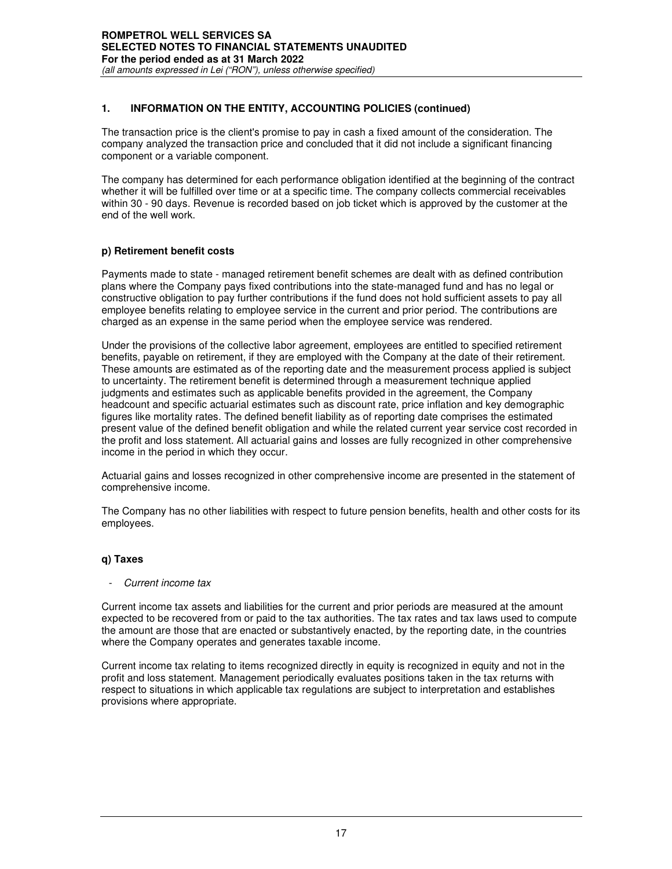The transaction price is the client's promise to pay in cash a fixed amount of the consideration. The company analyzed the transaction price and concluded that it did not include a significant financing component or a variable component.

The company has determined for each performance obligation identified at the beginning of the contract whether it will be fulfilled over time or at a specific time. The company collects commercial receivables within 30 - 90 days. Revenue is recorded based on job ticket which is approved by the customer at the end of the well work.

# **p) Retirement benefit costs**

Payments made to state - managed retirement benefit schemes are dealt with as defined contribution plans where the Company pays fixed contributions into the state-managed fund and has no legal or constructive obligation to pay further contributions if the fund does not hold sufficient assets to pay all employee benefits relating to employee service in the current and prior period. The contributions are charged as an expense in the same period when the employee service was rendered.

Under the provisions of the collective labor agreement, employees are entitled to specified retirement benefits, payable on retirement, if they are employed with the Company at the date of their retirement. These amounts are estimated as of the reporting date and the measurement process applied is subject to uncertainty. The retirement benefit is determined through a measurement technique applied judgments and estimates such as applicable benefits provided in the agreement, the Company headcount and specific actuarial estimates such as discount rate, price inflation and key demographic figures like mortality rates. The defined benefit liability as of reporting date comprises the estimated present value of the defined benefit obligation and while the related current year service cost recorded in the profit and loss statement. All actuarial gains and losses are fully recognized in other comprehensive income in the period in which they occur.

Actuarial gains and losses recognized in other comprehensive income are presented in the statement of comprehensive income.

The Company has no other liabilities with respect to future pension benefits, health and other costs for its employees.

# **q) Taxes**

## - *Current income tax*

Current income tax assets and liabilities for the current and prior periods are measured at the amount expected to be recovered from or paid to the tax authorities. The tax rates and tax laws used to compute the amount are those that are enacted or substantively enacted, by the reporting date, in the countries where the Company operates and generates taxable income.

Current income tax relating to items recognized directly in equity is recognized in equity and not in the profit and loss statement. Management periodically evaluates positions taken in the tax returns with respect to situations in which applicable tax regulations are subject to interpretation and establishes provisions where appropriate.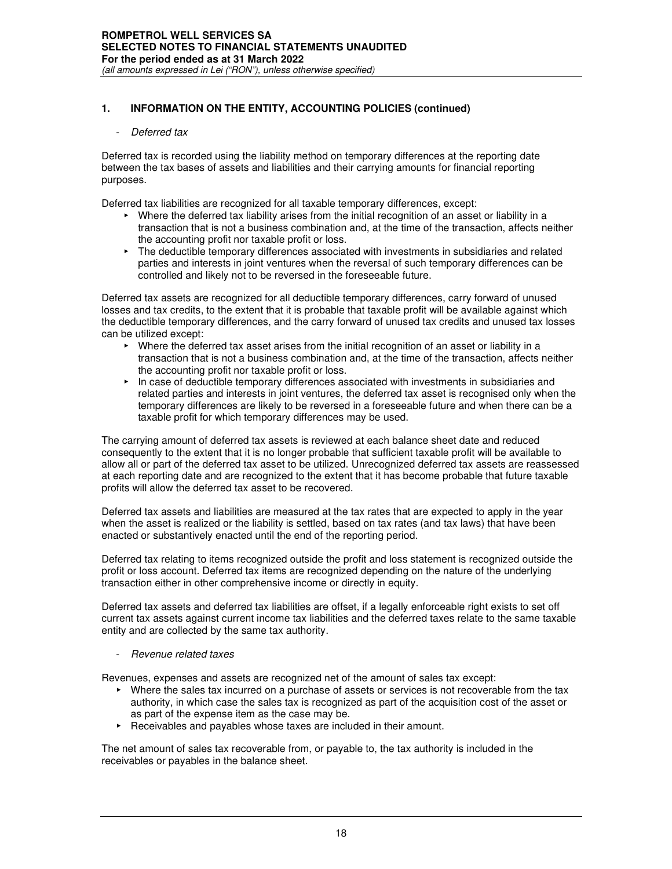#### - *Deferred tax*

Deferred tax is recorded using the liability method on temporary differences at the reporting date between the tax bases of assets and liabilities and their carrying amounts for financial reporting purposes.

Deferred tax liabilities are recognized for all taxable temporary differences, except:

- ► Where the deferred tax liability arises from the initial recognition of an asset or liability in a transaction that is not a business combination and, at the time of the transaction, affects neither the accounting profit nor taxable profit or loss.
- ► The deductible temporary differences associated with investments in subsidiaries and related parties and interests in joint ventures when the reversal of such temporary differences can be controlled and likely not to be reversed in the foreseeable future.

Deferred tax assets are recognized for all deductible temporary differences, carry forward of unused losses and tax credits, to the extent that it is probable that taxable profit will be available against which the deductible temporary differences, and the carry forward of unused tax credits and unused tax losses can be utilized except:

- ► Where the deferred tax asset arises from the initial recognition of an asset or liability in a transaction that is not a business combination and, at the time of the transaction, affects neither the accounting profit nor taxable profit or loss.
- ► In case of deductible temporary differences associated with investments in subsidiaries and related parties and interests in joint ventures, the deferred tax asset is recognised only when the temporary differences are likely to be reversed in a foreseeable future and when there can be a taxable profit for which temporary differences may be used.

The carrying amount of deferred tax assets is reviewed at each balance sheet date and reduced consequently to the extent that it is no longer probable that sufficient taxable profit will be available to allow all or part of the deferred tax asset to be utilized. Unrecognized deferred tax assets are reassessed at each reporting date and are recognized to the extent that it has become probable that future taxable profits will allow the deferred tax asset to be recovered.

Deferred tax assets and liabilities are measured at the tax rates that are expected to apply in the year when the asset is realized or the liability is settled, based on tax rates (and tax laws) that have been enacted or substantively enacted until the end of the reporting period.

Deferred tax relating to items recognized outside the profit and loss statement is recognized outside the profit or loss account. Deferred tax items are recognized depending on the nature of the underlying transaction either in other comprehensive income or directly in equity.

Deferred tax assets and deferred tax liabilities are offset, if a legally enforceable right exists to set off current tax assets against current income tax liabilities and the deferred taxes relate to the same taxable entity and are collected by the same tax authority.

#### - *Revenue related taxes*

Revenues, expenses and assets are recognized net of the amount of sales tax except:

- ► Where the sales tax incurred on a purchase of assets or services is not recoverable from the tax authority, in which case the sales tax is recognized as part of the acquisition cost of the asset or as part of the expense item as the case may be.
- ► Receivables and payables whose taxes are included in their amount.

The net amount of sales tax recoverable from, or payable to, the tax authority is included in the receivables or payables in the balance sheet.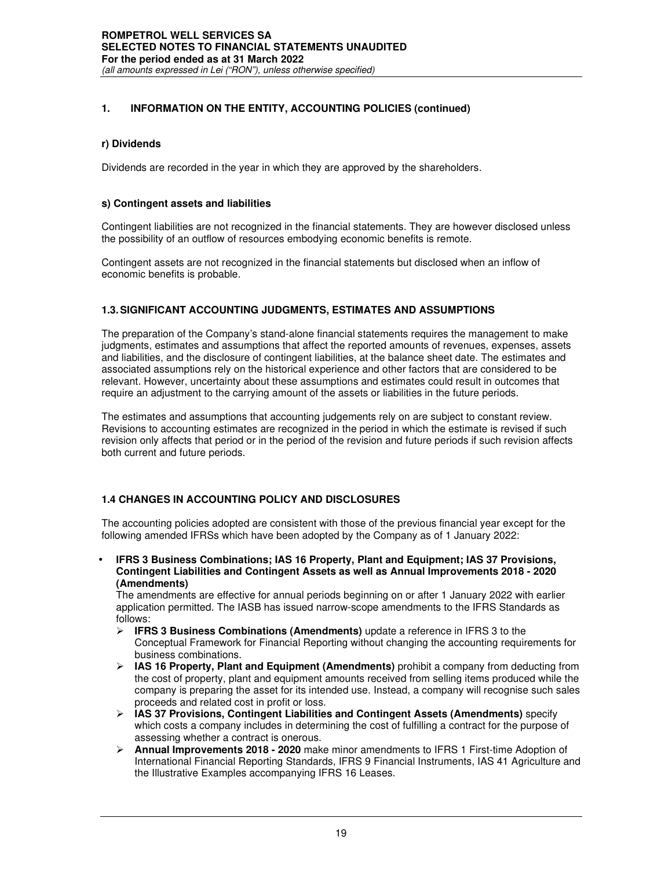## **r) Dividends**

Dividends are recorded in the year in which they are approved by the shareholders.

#### **s) Contingent assets and liabilities**

Contingent liabilities are not recognized in the financial statements. They are however disclosed unless the possibility of an outflow of resources embodying economic benefits is remote.

Contingent assets are not recognized in the financial statements but disclosed when an inflow of economic benefits is probable.

## **1.3. SIGNIFICANT ACCOUNTING JUDGMENTS, ESTIMATES AND ASSUMPTIONS**

The preparation of the Company's stand-alone financial statements requires the management to make judgments, estimates and assumptions that affect the reported amounts of revenues, expenses, assets and liabilities, and the disclosure of contingent liabilities, at the balance sheet date. The estimates and associated assumptions rely on the historical experience and other factors that are considered to be relevant. However, uncertainty about these assumptions and estimates could result in outcomes that require an adjustment to the carrying amount of the assets or liabilities in the future periods.

The estimates and assumptions that accounting judgements rely on are subject to constant review. Revisions to accounting estimates are recognized in the period in which the estimate is revised if such revision only affects that period or in the period of the revision and future periods if such revision affects both current and future periods.

## **1.4 CHANGES IN ACCOUNTING POLICY AND DISCLOSURES**

The accounting policies adopted are consistent with those of the previous financial year except for the following amended IFRSs which have been adopted by the Company as of 1 January 2022:

• **IFRS 3 Business Combinations; IAS 16 Property, Plant and Equipment; IAS 37 Provisions, Contingent Liabilities and Contingent Assets as well as Annual Improvements 2018 - 2020 (Amendments)** 

The amendments are effective for annual periods beginning on or after 1 January 2022 with earlier application permitted. The IASB has issued narrow-scope amendments to the IFRS Standards as follows:

- **IFRS 3 Business Combinations (Amendments)** update a reference in IFRS 3 to the Conceptual Framework for Financial Reporting without changing the accounting requirements for business combinations.
- **IAS 16 Property, Plant and Equipment (Amendments)** prohibit a company from deducting from the cost of property, plant and equipment amounts received from selling items produced while the company is preparing the asset for its intended use. Instead, a company will recognise such sales proceeds and related cost in profit or loss.
- **IAS 37 Provisions, Contingent Liabilities and Contingent Assets (Amendments)** specify which costs a company includes in determining the cost of fulfilling a contract for the purpose of assessing whether a contract is onerous.
- **Annual Improvements 2018 2020** make minor amendments to IFRS 1 First-time Adoption of International Financial Reporting Standards, IFRS 9 Financial Instruments, IAS 41 Agriculture and the Illustrative Examples accompanying IFRS 16 Leases.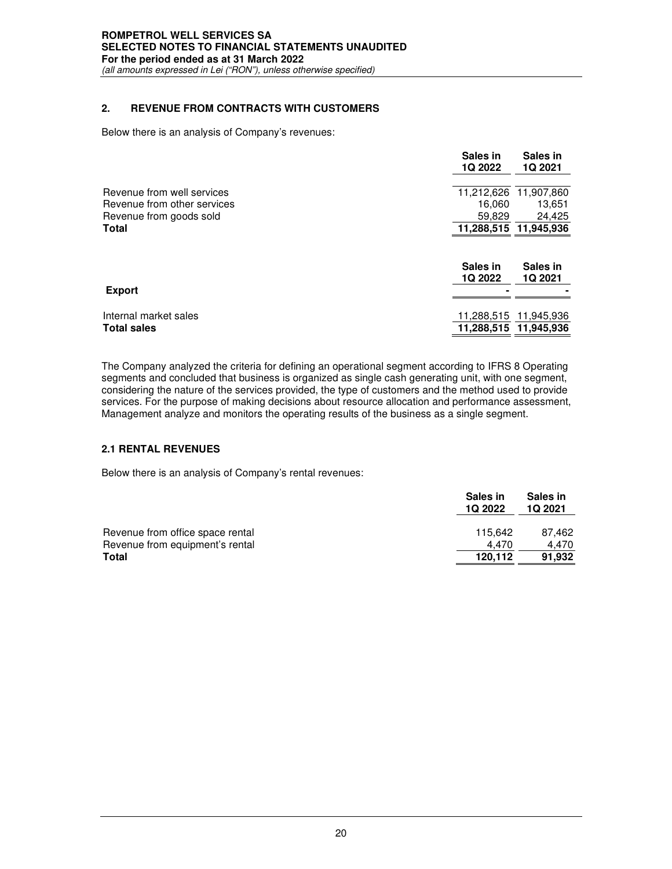## *(all amounts expressed in Lei ("RON"), unless otherwise specified)*

# **2. REVENUE FROM CONTRACTS WITH CUSTOMERS**

Below there is an analysis of Company's revenues:

|                                                        | Sales in<br>1Q 2022 | Sales in<br>1Q 2021                 |
|--------------------------------------------------------|---------------------|-------------------------------------|
| Revenue from well services                             | 11,212,626          | 11,907,860                          |
| Revenue from other services<br>Revenue from goods sold | 16.060<br>59.829    | 13,651<br>24,425                    |
| Total                                                  |                     | 11,288,515 11,945,936               |
|                                                        | Sales in<br>1Q 2022 | Sales in<br>1Q 2021                 |
|                                                        |                     |                                     |
| <b>Export</b>                                          |                     |                                     |
| Internal market sales<br><b>Total sales</b>            | 11,288,515          | 11,945,936<br>11,288,515 11,945,936 |

The Company analyzed the criteria for defining an operational segment according to IFRS 8 Operating segments and concluded that business is organized as single cash generating unit, with one segment, considering the nature of the services provided, the type of customers and the method used to provide services. For the purpose of making decisions about resource allocation and performance assessment, Management analyze and monitors the operating results of the business as a single segment.

## **2.1 RENTAL REVENUES**

Below there is an analysis of Company's rental revenues:

|                                  | Sales in<br><b>1Q 2022</b> | Sales in<br>1Q 2021 |
|----------------------------------|----------------------------|---------------------|
| Revenue from office space rental | 115.642                    | 87.462              |
| Revenue from equipment's rental  | 4.470                      | 4.470               |
| <b>Total</b>                     | 120,112                    | 91,932              |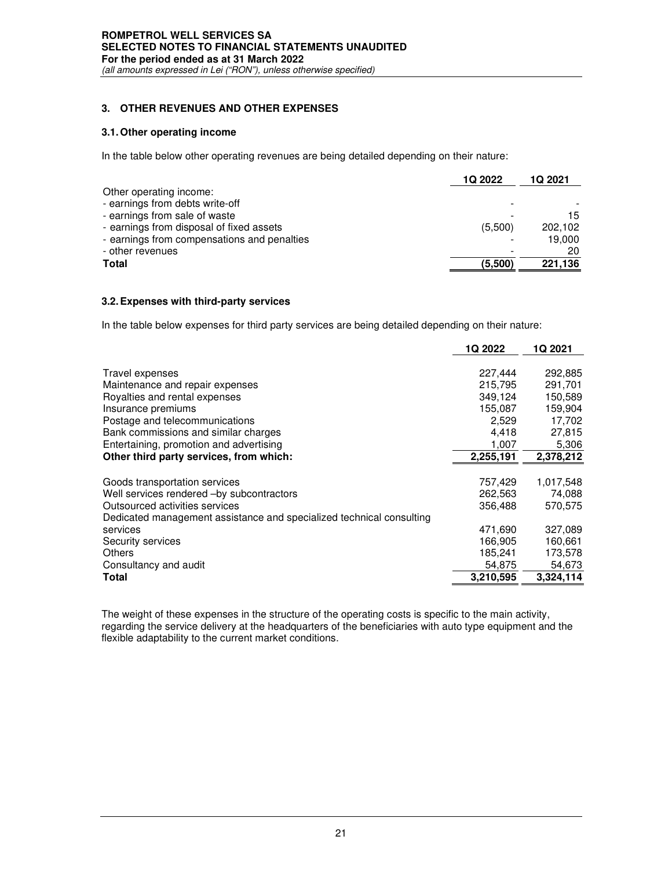# **ROMPETROL WELL SERVICES SA SELECTED NOTES TO FINANCIAL STATEMENTS UNAUDITED For the period ended as at 31 March 2022**

*(all amounts expressed in Lei ("RON"), unless otherwise specified)*

## **3. OTHER REVENUES AND OTHER EXPENSES**

#### **3.1. Other operating income**

In the table below other operating revenues are being detailed depending on their nature:

|                                             | 1Q 2022 | 1Q 2021 |
|---------------------------------------------|---------|---------|
| Other operating income:                     |         |         |
| - earnings from debts write-off             |         |         |
| - earnings from sale of waste               |         | 15      |
| - earnings from disposal of fixed assets    | (5,500) | 202.102 |
| - earnings from compensations and penalties |         | 19,000  |
| - other revenues                            |         | 20      |
| Total                                       | (5,500) | 221,136 |

#### **3.2. Expenses with third-party services**

In the table below expenses for third party services are being detailed depending on their nature:

|                                                                      | 1Q 2022   | 1Q 2021   |
|----------------------------------------------------------------------|-----------|-----------|
|                                                                      |           |           |
| Travel expenses                                                      | 227,444   | 292,885   |
| Maintenance and repair expenses                                      | 215.795   | 291,701   |
| Royalties and rental expenses                                        | 349,124   | 150,589   |
| Insurance premiums                                                   | 155,087   | 159,904   |
| Postage and telecommunications                                       | 2,529     | 17,702    |
| Bank commissions and similar charges                                 | 4,418     | 27,815    |
| Entertaining, promotion and advertising                              | 1,007     | 5,306     |
| Other third party services, from which:                              | 2,255,191 | 2,378,212 |
|                                                                      |           |           |
| Goods transportation services                                        | 757,429   | 1,017,548 |
| Well services rendered -by subcontractors                            | 262,563   | 74,088    |
| Outsourced activities services                                       | 356,488   | 570.575   |
| Dedicated management assistance and specialized technical consulting |           |           |
| services                                                             | 471,690   | 327,089   |
| Security services                                                    | 166,905   | 160,661   |
| Others                                                               | 185,241   | 173,578   |
| Consultancy and audit                                                | 54,875    | 54,673    |
| Total                                                                | 3,210,595 | 3,324,114 |

The weight of these expenses in the structure of the operating costs is specific to the main activity, regarding the service delivery at the headquarters of the beneficiaries with auto type equipment and the flexible adaptability to the current market conditions.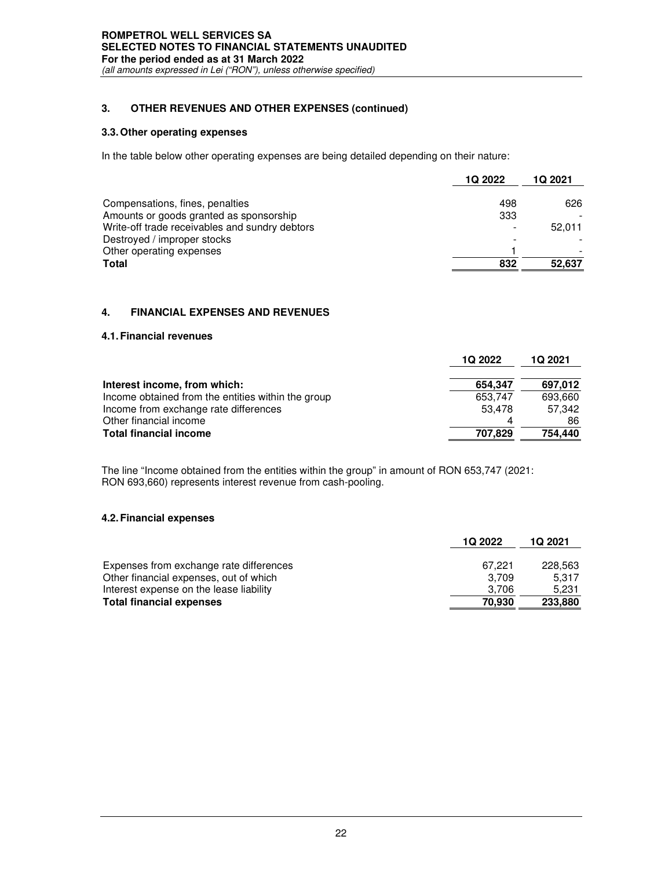# **3. OTHER REVENUES AND OTHER EXPENSES (continued)**

#### **3.3. Other operating expenses**

In the table below other operating expenses are being detailed depending on their nature:

|                                                | 1Q 2022 | 1Q 2021 |
|------------------------------------------------|---------|---------|
|                                                |         |         |
| Compensations, fines, penalties                | 498     | 626     |
| Amounts or goods granted as sponsorship        | 333     |         |
| Write-off trade receivables and sundry debtors |         | 52.011  |
| Destroyed / improper stocks                    |         |         |
| Other operating expenses                       |         |         |
| <b>Total</b>                                   | 832     | 52,637  |

## **4. FINANCIAL EXPENSES AND REVENUES**

#### **4.1. Financial revenues**

|                                                    | <b>1Q 2022</b> | 1Q 2021 |
|----------------------------------------------------|----------------|---------|
| Interest income, from which:                       | 654.347        | 697,012 |
| Income obtained from the entities within the group | 653,747        | 693.660 |
| Income from exchange rate differences              | 53.478         | 57.342  |
| Other financial income                             |                | 86      |
| <b>Total financial income</b>                      | 707,829        | 754,440 |

The line "Income obtained from the entities within the group" in amount of RON 653,747 (2021: RON 693,660) represents interest revenue from cash-pooling.

#### **4.2. Financial expenses**

|                                         | 1Q 2022 | 1Q 2021 |
|-----------------------------------------|---------|---------|
| Expenses from exchange rate differences | 67.221  | 228.563 |
| Other financial expenses, out of which  | 3.709   | 5.317   |
| Interest expense on the lease liability | 3.706   | 5.231   |
| <b>Total financial expenses</b>         | 70.930  | 233,880 |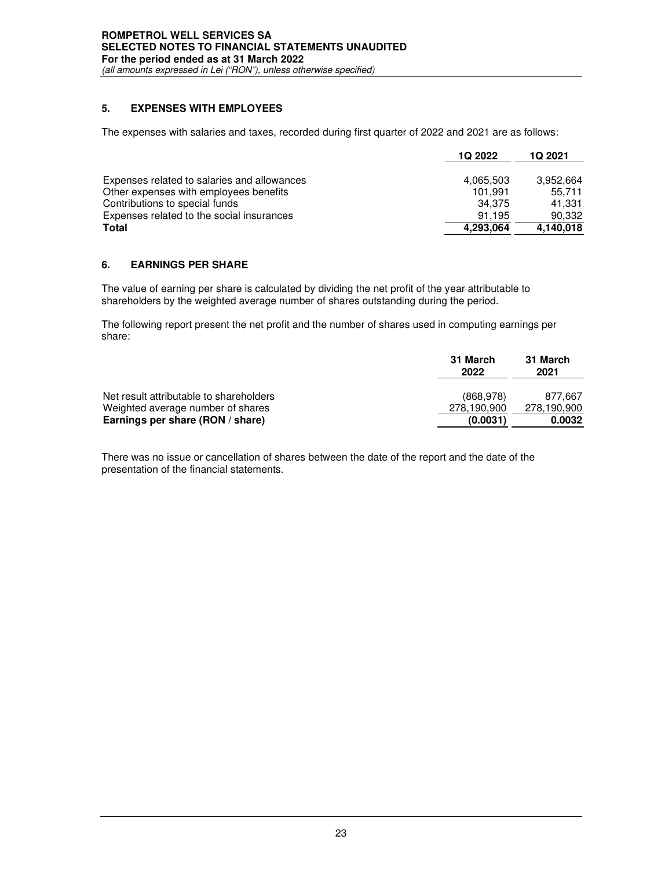# **5. EXPENSES WITH EMPLOYEES**

The expenses with salaries and taxes, recorded during first quarter of 2022 and 2021 are as follows:

|                                             | <b>1Q 2022</b> | <b>1Q 2021</b> |
|---------------------------------------------|----------------|----------------|
| Expenses related to salaries and allowances | 4.065.503      | 3.952.664      |
| Other expenses with employees benefits      | 101.991        | 55.711         |
| Contributions to special funds              | 34.375         | 41.331         |
| Expenses related to the social insurances   | 91.195         | 90,332         |
| <b>Total</b>                                | 4,293,064      | 4,140,018      |

# **6. EARNINGS PER SHARE**

The value of earning per share is calculated by dividing the net profit of the year attributable to shareholders by the weighted average number of shares outstanding during the period.

The following report present the net profit and the number of shares used in computing earnings per share:

|                                                                              | 31 March<br>2022          | 31 March<br>2021       |
|------------------------------------------------------------------------------|---------------------------|------------------------|
| Net result attributable to shareholders<br>Weighted average number of shares | (868, 978)<br>278.190.900 | 877.667<br>278,190,900 |
| Earnings per share (RON / share)                                             | (0.0031)                  | 0.0032                 |

There was no issue or cancellation of shares between the date of the report and the date of the presentation of the financial statements.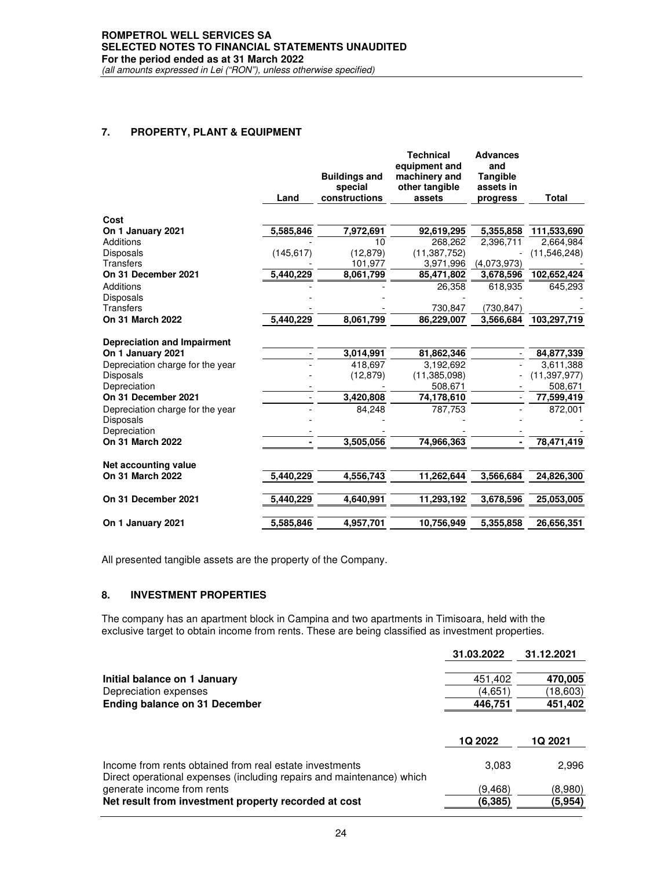# **ROMPETROL WELL SERVICES SA SELECTED NOTES TO FINANCIAL STATEMENTS UNAUDITED For the period ended as at 31 March 2022**

*(all amounts expressed in Lei ("RON"), unless otherwise specified)*

## **7. PROPERTY, PLANT & EQUIPMENT**

|                                    | Land       | <b>Buildings and</b><br>special<br>constructions | <b>Technical</b><br>equipment and<br>machinery and<br>other tangible<br>assets | <b>Advances</b><br>and<br><b>Tangible</b><br>assets in<br>progress | Total          |
|------------------------------------|------------|--------------------------------------------------|--------------------------------------------------------------------------------|--------------------------------------------------------------------|----------------|
|                                    |            |                                                  |                                                                                |                                                                    |                |
| Cost                               |            |                                                  |                                                                                |                                                                    |                |
| On 1 January 2021                  | 5,585,846  | 7,972,691                                        | 92,619,295                                                                     | 5,355,858                                                          | 111,533,690    |
| <b>Additions</b>                   |            | 10                                               | 268,262                                                                        | 2,396,711                                                          | 2,664,984      |
| <b>Disposals</b>                   | (145, 617) | (12, 879)                                        | (11, 387, 752)                                                                 |                                                                    | (11,546,248)   |
| <b>Transfers</b>                   |            | 101,977                                          | 3,971,996                                                                      | (4,073,973)                                                        |                |
| On 31 December 2021                | 5,440,229  | 8,061,799                                        | 85,471,802                                                                     | 3,678,596                                                          | 102,652,424    |
| Additions                          |            |                                                  | 26,358                                                                         | 618,935                                                            | 645,293        |
| Disposals                          |            |                                                  |                                                                                |                                                                    |                |
| <b>Transfers</b>                   |            |                                                  | 730,847                                                                        | (730, 847)                                                         |                |
| On 31 March 2022                   | 5,440,229  | 8,061,799                                        | 86,229,007                                                                     | 3,566,684                                                          | 103,297,719    |
| <b>Depreciation and Impairment</b> |            |                                                  |                                                                                |                                                                    |                |
| On 1 January 2021                  |            | 3,014,991                                        | 81,862,346                                                                     |                                                                    | 84,877,339     |
| Depreciation charge for the year   |            | 418,697                                          | 3,192,692                                                                      |                                                                    | 3,611,388      |
| <b>Disposals</b>                   |            | (12, 879)                                        | (11, 385, 098)                                                                 |                                                                    | (11, 397, 977) |
| Depreciation                       |            |                                                  | 508,671                                                                        |                                                                    | 508,671        |
| On 31 December 2021                |            | 3,420,808                                        | 74,178,610                                                                     |                                                                    | 77,599,419     |
| Depreciation charge for the year   |            | 84,248                                           | 787,753                                                                        |                                                                    | 872,001        |
| <b>Disposals</b>                   |            |                                                  |                                                                                |                                                                    |                |
| Depreciation                       |            |                                                  |                                                                                |                                                                    |                |
| On 31 March 2022                   |            | 3,505,056                                        | 74,966,363                                                                     |                                                                    | 78,471,419     |
| Net accounting value               |            |                                                  |                                                                                |                                                                    |                |
| On 31 March 2022                   | 5.440.229  | 4,556,743                                        | 11,262,644                                                                     | 3,566,684                                                          | 24,826,300     |
| On 31 December 2021                | 5,440,229  | 4,640,991                                        | 11,293,192                                                                     | 3,678,596                                                          | 25,053,005     |
| On 1 January 2021                  | 5,585,846  | 4,957,701                                        | 10,756,949                                                                     | 5,355,858                                                          | 26,656,351     |
|                                    |            |                                                  |                                                                                |                                                                    |                |

All presented tangible assets are the property of the Company.

## **8. INVESTMENT PROPERTIES**

The company has an apartment block in Campina and two apartments in Timisoara, held with the exclusive target to obtain income from rents. These are being classified as investment properties.

| 31.03.2022 | 31.12.2021     |
|------------|----------------|
| 451,402    | 470,005        |
| (4,651)    | (18,603)       |
| 446,751    | 451,402        |
| 1Q 2022    | <b>1Q 2021</b> |
| 3,083      | 2,996          |
| (9,468)    | (8,980)        |
| (6,385)    | (5,954)        |
|            |                |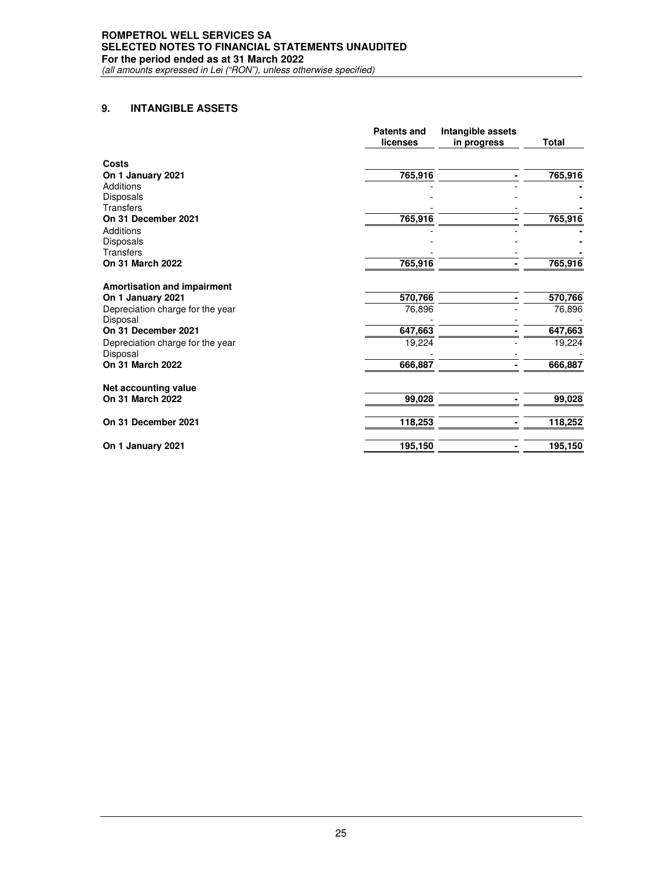## **9. INTANGIBLE ASSETS**

|                                              | <b>Patents and</b><br>licenses | Intangible assets<br>in progress | <b>Total</b> |
|----------------------------------------------|--------------------------------|----------------------------------|--------------|
| Costs                                        |                                |                                  |              |
| On 1 January 2021                            | 765,916                        |                                  | 765,916      |
| Additions                                    |                                |                                  |              |
| Disposals                                    |                                |                                  |              |
| <b>Transfers</b>                             |                                |                                  |              |
| On 31 December 2021                          | 765,916                        |                                  | 765,916      |
| Additions                                    |                                |                                  |              |
| <b>Disposals</b>                             |                                |                                  |              |
| <b>Transfers</b>                             |                                |                                  |              |
| On 31 March 2022                             | 765,916                        |                                  | 765,916      |
| <b>Amortisation and impairment</b>           |                                |                                  |              |
| On 1 January 2021                            | 570,766                        |                                  | 570,766      |
| Depreciation charge for the year<br>Disposal | 76,896                         |                                  | 76,896       |
| On 31 December 2021                          | 647,663                        |                                  | 647,663      |
| Depreciation charge for the year<br>Disposal | 19,224                         |                                  | 19,224       |
| <b>On 31 March 2022</b>                      | 666,887                        |                                  | 666,887      |
| Net accounting value                         |                                |                                  |              |
| On 31 March 2022                             | 99,028                         |                                  | 99,028       |
| On 31 December 2021                          | 118,253                        |                                  | 118,252      |
| On 1 January 2021                            | 195,150                        |                                  | 195,150      |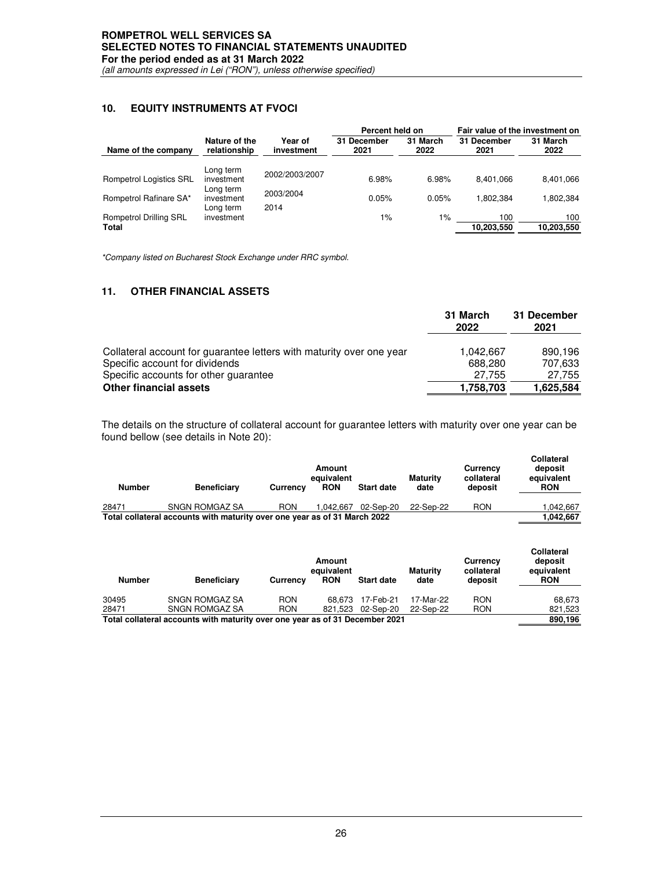# **10. EQUITY INSTRUMENTS AT FVOCI**

|                                        |                                      |                       | Percent held on     |                  | Fair value of the investment on |                   |
|----------------------------------------|--------------------------------------|-----------------------|---------------------|------------------|---------------------------------|-------------------|
| Name of the company                    | Nature of the<br>relationship        | Year of<br>investment | 31 December<br>2021 | 31 March<br>2022 | 31 December<br>2021             | 31 March<br>2022  |
| <b>Rompetrol Logistics SRL</b>         | Long term<br>investment              | 2002/2003/2007        | 6.98%               | 6.98%            | 8.401.066                       | 8.401.066         |
| Rompetrol Rafinare SA*                 | Long term<br>investment<br>Long term | 2003/2004<br>2014     | 0.05%               | 0.05%            | 1.802.384                       | 1.802.384         |
| <b>Rompetrol Drilling SRL</b><br>Total | investment                           |                       | 1%                  | $1\%$            | 100<br>10.203.550               | 100<br>10.203.550 |

*\*Company listed on Bucharest Stock Exchange under RRC symbol.* 

# **11. OTHER FINANCIAL ASSETS**

|                                                                      | 31 March<br>2022 | 31 December<br>2021 |
|----------------------------------------------------------------------|------------------|---------------------|
| Collateral account for guarantee letters with maturity over one year | 1.042.667        | 890.196             |
| Specific account for dividends                                       | 688.280          | 707.633             |
| Specific accounts for other quarantee                                | 27.755           | 27,755              |
| <b>Other financial assets</b>                                        | 1,758,703        | 1,625,584           |

The details on the structure of collateral account for guarantee letters with maturity over one year can be found bellow (see details in Note 20):

| Number | <b>Beneficiary</b>                                                        | <b>Currency</b> | Amount<br>equivalent<br><b>RON</b> | <b>Start date</b> | <b>Maturity</b><br>date | Currency<br>collateral<br>deposit | <b>Collateral</b><br>deposit<br>equivalent<br><b>RON</b> |
|--------|---------------------------------------------------------------------------|-----------------|------------------------------------|-------------------|-------------------------|-----------------------------------|----------------------------------------------------------|
| 28471  | <b>SNGN ROMGAZ SA</b>                                                     | <b>RON</b>      | 1.042.667                          | 02-Sep-20         | 22-Sep-22               | <b>RON</b>                        | 1.042.667                                                |
|        | Total collateral accounts with maturity over one year as of 31 March 2022 |                 |                                    |                   |                         |                                   | 1.042.667                                                |

| <b>Number</b>                                                                | <b>Beneficiary</b>    | <b>Currency</b> | Amount<br>equivalent<br><b>RON</b> | <b>Start date</b> | <b>Maturity</b><br>date | Currency<br>collateral<br>deposit | <b>Collateral</b><br>deposit<br>equivalent<br><b>RON</b> |
|------------------------------------------------------------------------------|-----------------------|-----------------|------------------------------------|-------------------|-------------------------|-----------------------------------|----------------------------------------------------------|
| 30495                                                                        | <b>SNGN ROMGAZ SA</b> | <b>RON</b>      |                                    | 68.673 17-Feb-21  | 17-Mar-22               | <b>RON</b>                        | 68.673                                                   |
| 28471                                                                        | SNGN ROMGAZ SA        | <b>RON</b>      |                                    | 821.523 02-Sep-20 | 22-Sep-22               | <b>RON</b>                        | 821,523                                                  |
| Total collateral accounts with maturity over one year as of 31 December 2021 |                       |                 |                                    |                   |                         | 890.196                           |                                                          |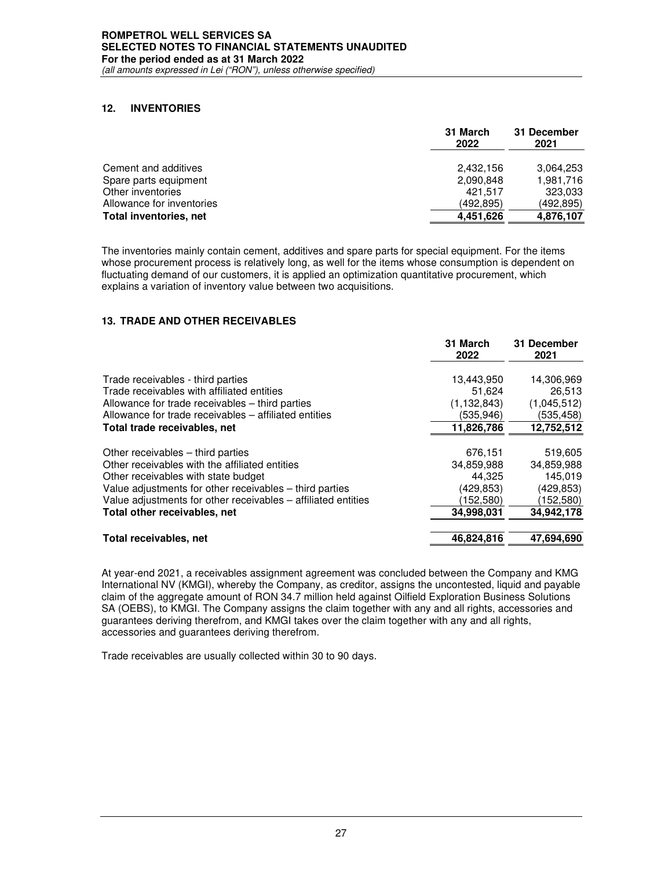# **12. INVENTORIES**

|                               | 31 March<br>2022 | 31 December<br>2021 |
|-------------------------------|------------------|---------------------|
| Cement and additives          | 2,432,156        | 3,064,253           |
| Spare parts equipment         | 2,090,848        | 1,981,716           |
| Other inventories             | 421.517          | 323,033             |
| Allowance for inventories     | (492.895)        | (492,895)           |
| <b>Total inventories, net</b> | 4,451,626        | 4,876,107           |

The inventories mainly contain cement, additives and spare parts for special equipment. For the items whose procurement process is relatively long, as well for the items whose consumption is dependent on fluctuating demand of our customers, it is applied an optimization quantitative procurement, which explains a variation of inventory value between two acquisitions.

## **13. TRADE AND OTHER RECEIVABLES**

|                                                               | 31 March<br>2022 | 31 December<br>2021 |
|---------------------------------------------------------------|------------------|---------------------|
| Trade receivables - third parties                             | 13,443,950       | 14,306,969          |
| Trade receivables with affiliated entities                    | 51,624           | 26.513              |
| Allowance for trade receivables – third parties               | (1, 132, 843)    | (1,045,512)         |
| Allowance for trade receivables – affiliated entities         | (535,946)        | (535,458)           |
| Total trade receivables, net                                  | 11,826,786       | 12,752,512          |
| Other receivables – third parties                             | 676,151          | 519,605             |
| Other receivables with the affiliated entities                | 34,859,988       | 34,859,988          |
| Other receivables with state budget                           | 44.325           | 145.019             |
| Value adjustments for other receivables – third parties       | (429,853)        | (429,853)           |
| Value adjustments for other receivables – affiliated entities | (152, 580)       | (152,580)           |
| Total other receivables, net                                  | 34,998,031       | 34,942,178          |
|                                                               |                  |                     |
| Total receivables, net                                        | 46.824.816       | 47.694,690          |

At year-end 2021, a receivables assignment agreement was concluded between the Company and KMG International NV (KMGI), whereby the Company, as creditor, assigns the uncontested, liquid and payable claim of the aggregate amount of RON 34.7 million held against Oilfield Exploration Business Solutions SA (OEBS), to KMGI. The Company assigns the claim together with any and all rights, accessories and guarantees deriving therefrom, and KMGI takes over the claim together with any and all rights, accessories and guarantees deriving therefrom.

Trade receivables are usually collected within 30 to 90 days.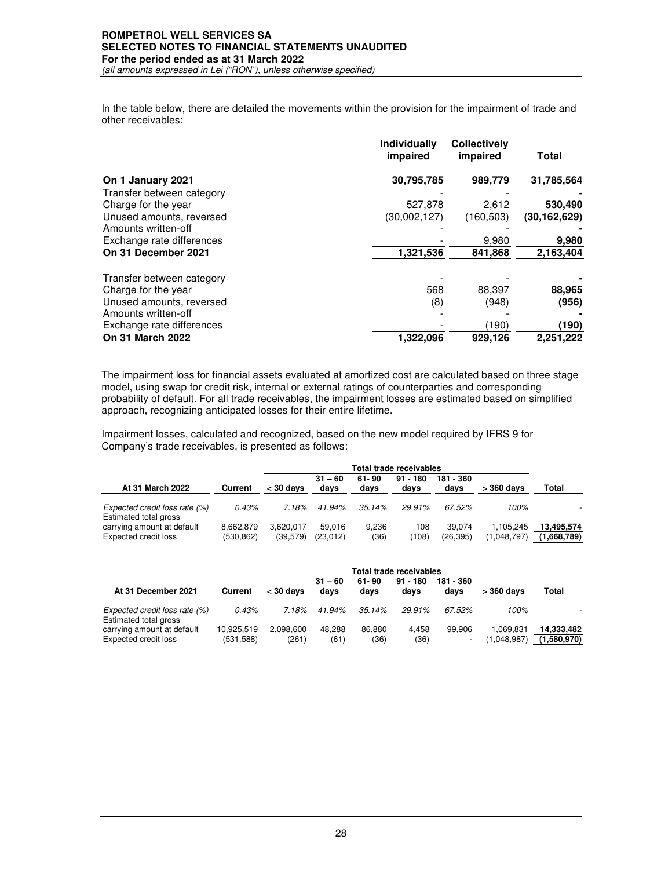# **ROMPETROL WELL SERVICES SA SELECTED NOTES TO FINANCIAL STATEMENTS UNAUDITED For the period ended as at 31 March 2022**

*(all amounts expressed in Lei ("RON"), unless otherwise specified)*

In the table below, there are detailed the movements within the provision for the impairment of trade and other receivables:

|                           | Individually<br>impaired | <b>Collectively</b><br>impaired | Total        |
|---------------------------|--------------------------|---------------------------------|--------------|
| On 1 January 2021         | 30,795,785               | 989,779                         | 31,785,564   |
| Transfer between category |                          |                                 |              |
| Charge for the year       | 527,878                  | 2,612                           | 530,490      |
| Unused amounts, reversed  | (30,002,127)             | (160, 503)                      | (30.162.629) |
| Amounts written-off       |                          |                                 |              |
| Exchange rate differences |                          | 9,980                           | 9,980        |
| On 31 December 2021       | 1,321,536                | 841,868                         | 2,163,404    |
| Transfer between category |                          |                                 |              |
| Charge for the year       | 568                      | 88,397                          | 88,965       |
| Unused amounts, reversed  | (8)                      | (948)                           | (956)        |
| Amounts written-off       |                          |                                 |              |
| Exchange rate differences |                          | (190)                           | (190)        |
| On 31 March 2022          | 1,322,096                | 929,126                         | 2,251,222    |

The impairment loss for financial assets evaluated at amortized cost are calculated based on three stage model, using swap for credit risk, internal or external ratings of counterparties and corresponding probability of default. For all trade receivables, the impairment losses are estimated based on simplified approach, recognizing anticipated losses for their entire lifetime.

Impairment losses, calculated and recognized, based on the new model required by IFRS 9 for Company's trade receivables, is presented as follows:

|                                                        |           | Total trade receivables |                   |               |                    |                   |             |             |
|--------------------------------------------------------|-----------|-------------------------|-------------------|---------------|--------------------|-------------------|-------------|-------------|
| At 31 March 2022                                       | Current   | $<$ 30 days             | $31 - 60$<br>days | 61-90<br>days | $91 - 180$<br>days | 181 - 360<br>days | > 360 davs  | Total       |
| Expected credit loss rate (%)<br>Estimated total gross | 0.43%     | 7.18%                   | 41.94%            | 35.14%        | 29.91%             | 67.52%            | 100%        |             |
| carrying amount at default                             | 8.662.879 | 3.620.017               | 59.016            | 9.236         | 108                | 39.074            | 1.105.245   | 13.495.574  |
| Expected credit loss                                   | (530,862) | (39, 579)               | (23,012)          | (36)          | (108)              | (26, 395)         | (1,048,797) | (1,668,789) |

|                                                        |                         | Total trade receivables |                   |                |                    |                                    |                          |                           |
|--------------------------------------------------------|-------------------------|-------------------------|-------------------|----------------|--------------------|------------------------------------|--------------------------|---------------------------|
| At 31 December 2021                                    | Current                 | $<$ 30 davs             | $31 - 60$<br>days | 61-90<br>days  | $91 - 180$<br>davs | 181 - 360<br>davs                  | > 360 davs               | Total                     |
| Expected credit loss rate (%)<br>Estimated total gross | 0.43%                   | 7.18%                   | 41.94%            | $35.14\%$      | 29.91%             | 67.52%                             | 100%                     |                           |
| carrying amount at default<br>Expected credit loss     | 10.925.519<br>(531,588) | 2.098.600<br>(261)      | 48.288<br>(61)    | 86.880<br>(36) | 4.458<br>(36)      | 99.906<br>$\overline{\phantom{0}}$ | 1.069.831<br>(1.048.987) | 14.333.482<br>(1,580,970) |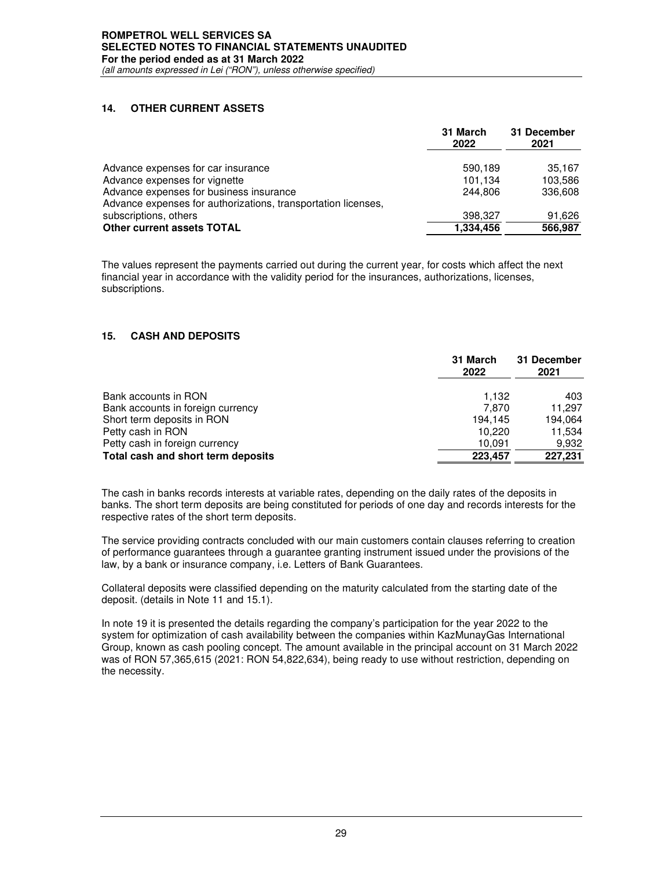## **14. OTHER CURRENT ASSETS**

|                                                               | 31 March<br>2022 | 31 December<br>2021 |
|---------------------------------------------------------------|------------------|---------------------|
| Advance expenses for car insurance                            | 590.189          | 35.167              |
| Advance expenses for vignette                                 | 101.134          | 103,586             |
| Advance expenses for business insurance                       | 244.806          | 336,608             |
| Advance expenses for authorizations, transportation licenses, |                  |                     |
| subscriptions, others                                         | 398.327          | 91,626              |
| <b>Other current assets TOTAL</b>                             | 1,334,456        | 566.987             |

The values represent the payments carried out during the current year, for costs which affect the next financial year in accordance with the validity period for the insurances, authorizations, licenses, subscriptions.

## **15. CASH AND DEPOSITS**

|                                    | 31 March<br>2022 | 31 December<br>2021 |
|------------------------------------|------------------|---------------------|
| Bank accounts in RON               | 1.132            | 403                 |
| Bank accounts in foreign currency  | 7.870            | 11.297              |
| Short term deposits in RON         | 194.145          | 194,064             |
| Petty cash in RON                  | 10.220           | 11,534              |
| Petty cash in foreign currency     | 10.091           | 9,932               |
| Total cash and short term deposits | 223,457          | 227,231             |

The cash in banks records interests at variable rates, depending on the daily rates of the deposits in banks. The short term deposits are being constituted for periods of one day and records interests for the respective rates of the short term deposits.

The service providing contracts concluded with our main customers contain clauses referring to creation of performance guarantees through a guarantee granting instrument issued under the provisions of the law, by a bank or insurance company, i.e. Letters of Bank Guarantees.

Collateral deposits were classified depending on the maturity calculated from the starting date of the deposit. (details in Note 11 and 15.1).

In note 19 it is presented the details regarding the company's participation for the year 2022 to the system for optimization of cash availability between the companies within KazMunayGas International Group, known as cash pooling concept. The amount available in the principal account on 31 March 2022 was of RON 57,365,615 (2021: RON 54,822,634), being ready to use without restriction, depending on the necessity.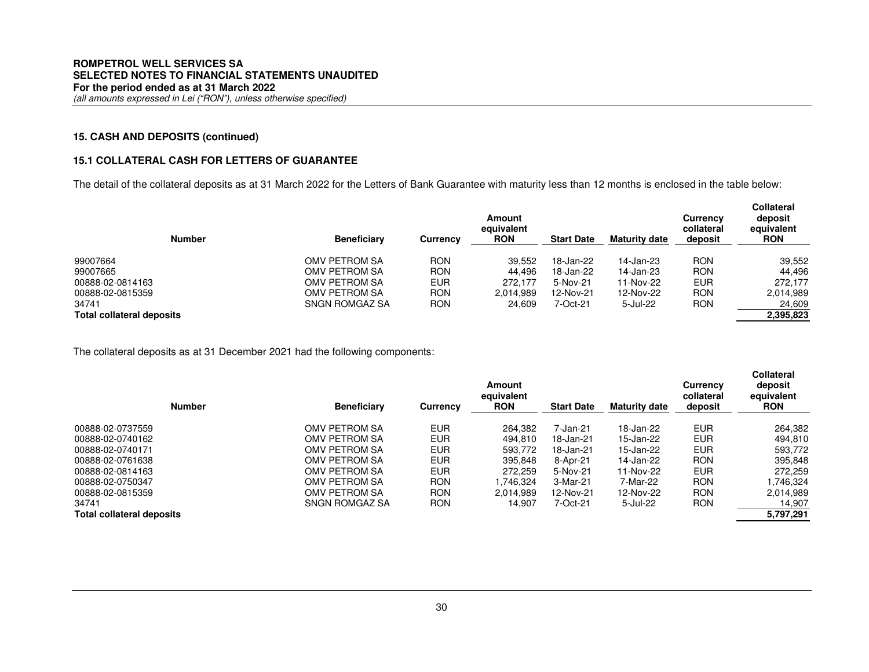## **15. CASH AND DEPOSITS (continued)**

## **15.1 COLLATERAL CASH FOR LETTERS OF GUARANTEE**

The detail of the collateral deposits as at 31 March 2022 for the Letters of Bank Guarantee with maturity less than 12 months is enclosed in the table below:

| <b>Number</b>                    | <b>Beneficiary</b> | <b>Currency</b> | Amount<br>equivalent<br><b>RON</b> | <b>Start Date</b> | <b>Maturity date</b> | Currency<br>collateral<br>deposit | <b>Collateral</b><br>deposit<br>equivalent<br><b>RON</b> |
|----------------------------------|--------------------|-----------------|------------------------------------|-------------------|----------------------|-----------------------------------|----------------------------------------------------------|
| 99007664                         | OMV PETROM SA      | <b>RON</b>      | 39.552                             | 18-Jan-22         | 14-Jan-23            | <b>RON</b>                        | 39,552                                                   |
| 99007665                         | OMV PETROM SA      | <b>RON</b>      | 44.496                             | 18-Jan-22         | 14-Jan-23            | <b>RON</b>                        | 44.496                                                   |
| 00888-02-0814163                 | OMV PETROM SA      | <b>EUR</b>      | 272.177                            | 5-Nov-21          | 11-Nov-22            | <b>EUR</b>                        | 272.177                                                  |
| 00888-02-0815359                 | OMV PETROM SA      | RON             | 2.014.989                          | 12-Nov-21         | 12-Nov-22            | <b>RON</b>                        | 2,014,989                                                |
| 34741                            | SNGN ROMGAZ SA     | RON             | 24,609                             | 7-Oct-21          | 5-Jul-22             | <b>RON</b>                        | 24,609                                                   |
| <b>Total collateral deposits</b> |                    |                 |                                    |                   |                      |                                   | 2,395,823                                                |

The collateral deposits as at 31 December 2021 had the following components:

| <b>Number</b>                    | <b>Beneficiary</b> | Currency   | Amount<br>equivalent<br><b>RON</b> | <b>Start Date</b> | <b>Maturity date</b> | <b>Currency</b><br>collateral<br>deposit | <b>Collateral</b><br>deposit<br>equivalent<br><b>RON</b> |
|----------------------------------|--------------------|------------|------------------------------------|-------------------|----------------------|------------------------------------------|----------------------------------------------------------|
| 00888-02-0737559                 | OMV PETROM SA      | <b>EUR</b> | 264,382                            | 7-Jan-21          | 18-Jan-22            | <b>EUR</b>                               | 264,382                                                  |
| 00888-02-0740162                 | OMV PETROM SA      | <b>EUR</b> | 494.810                            | 18-Jan-21         | 15-Jan-22            | <b>EUR</b>                               | 494.810                                                  |
| 00888-02-0740171                 | OMV PETROM SA      | EUR        | 593,772                            | 18-Jan-21         | 15-Jan-22            | <b>EUR</b>                               | 593,772                                                  |
| 00888-02-0761638                 | OMV PETROM SA      | <b>EUR</b> | 395.848                            | 8-Apr-21          | 14-Jan-22            | <b>RON</b>                               | 395,848                                                  |
| 00888-02-0814163                 | OMV PETROM SA      | <b>EUR</b> | 272.259                            | 5-Nov-21          | 11-Nov-22            | <b>EUR</b>                               | 272.259                                                  |
| 00888-02-0750347                 | OMV PETROM SA      | <b>RON</b> | 1.746.324                          | 3-Mar-21          | 7-Mar-22             | <b>RON</b>                               | .746.324                                                 |
| 00888-02-0815359                 | OMV PETROM SA      | <b>RON</b> | 2,014,989                          | 12-Nov-21         | 12-Nov-22            | <b>RON</b>                               | 2,014,989                                                |
| 34741                            | SNGN ROMGAZ SA     | <b>RON</b> | 14.907                             | 7-Oct-21          | 5-Jul-22             | <b>RON</b>                               | 14,907                                                   |
| <b>Total collateral deposits</b> |                    |            |                                    |                   |                      |                                          | 5,797,291                                                |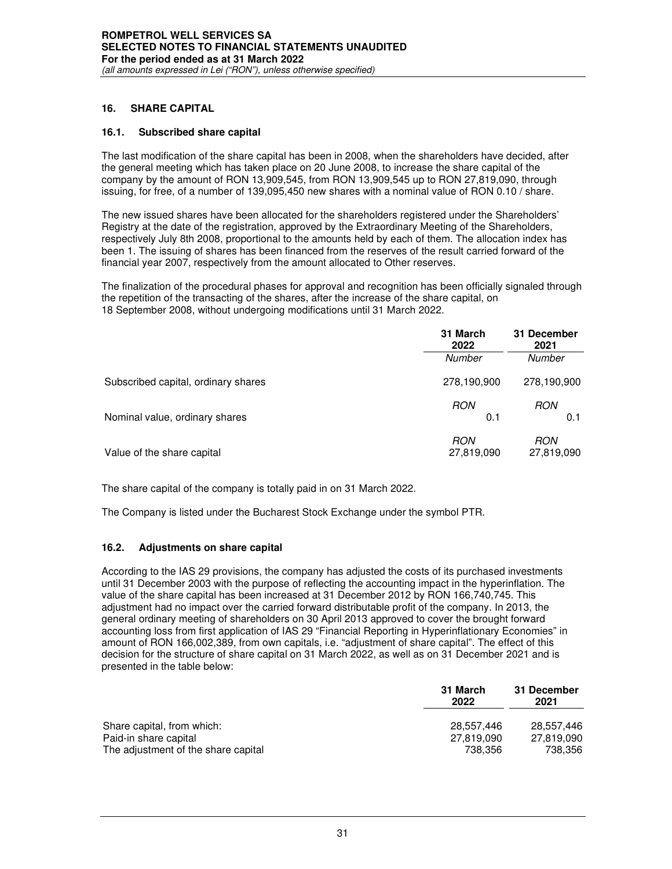## **16. SHARE CAPITAL**

## **16.1. Subscribed share capital**

The last modification of the share capital has been in 2008, when the shareholders have decided, after the general meeting which has taken place on 20 June 2008, to increase the share capital of the company by the amount of RON 13,909,545, from RON 13,909,545 up to RON 27,819,090, through issuing, for free, of a number of 139,095,450 new shares with a nominal value of RON 0.10 / share.

The new issued shares have been allocated for the shareholders registered under the Shareholders' Registry at the date of the registration, approved by the Extraordinary Meeting of the Shareholders, respectively July 8th 2008, proportional to the amounts held by each of them. The allocation index has been 1. The issuing of shares has been financed from the reserves of the result carried forward of the financial year 2007, respectively from the amount allocated to Other reserves.

The finalization of the procedural phases for approval and recognition has been officially signaled through the repetition of the transacting of the shares, after the increase of the share capital, on 18 September 2008, without undergoing modifications until 31 March 2022.

|                                     | 31 March<br>2022         | 31 December<br>2021      |  |
|-------------------------------------|--------------------------|--------------------------|--|
|                                     | Number                   | Number                   |  |
| Subscribed capital, ordinary shares | 278,190,900              | 278,190,900              |  |
| Nominal value, ordinary shares      | <b>RON</b><br>0.1        | <b>RON</b><br>0.1        |  |
| Value of the share capital          | <b>RON</b><br>27,819,090 | <b>RON</b><br>27,819,090 |  |

The share capital of the company is totally paid in on 31 March 2022.

The Company is listed under the Bucharest Stock Exchange under the symbol PTR.

## **16.2. Adjustments on share capital**

According to the IAS 29 provisions, the company has adjusted the costs of its purchased investments until 31 December 2003 with the purpose of reflecting the accounting impact in the hyperinflation. The value of the share capital has been increased at 31 December 2012 by RON 166,740,745. This adjustment had no impact over the carried forward distributable profit of the company. In 2013, the general ordinary meeting of shareholders on 30 April 2013 approved to cover the brought forward accounting loss from first application of IAS 29 "Financial Reporting in Hyperinflationary Economies" in amount of RON 166,002,389, from own capitals, i.e. "adjustment of share capital". The effect of this decision for the structure of share capital on 31 March 2022, as well as on 31 December 2021 and is presented in the table below:

|                                     | 31 March<br>2022 | 31 December<br>2021 |
|-------------------------------------|------------------|---------------------|
| Share capital, from which:          | 28.557.446       | 28.557.446          |
| Paid-in share capital               | 27.819.090       | 27.819.090          |
| The adjustment of the share capital | 738.356          | 738.356             |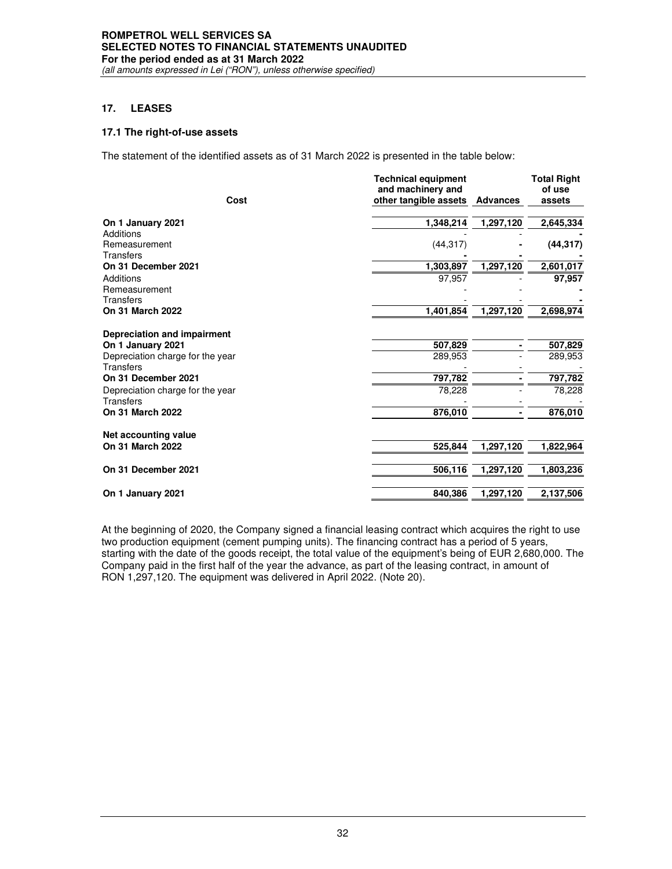# **17. LEASES**

## **17.1 The right-of-use assets**

The statement of the identified assets as of 31 March 2022 is presented in the table below:

|                                  | <b>Technical equipment</b> |                 | <b>Total Right</b> |  |
|----------------------------------|----------------------------|-----------------|--------------------|--|
|                                  | and machinery and          |                 | of use             |  |
| Cost                             | other tangible assets      | <b>Advances</b> | assets             |  |
| On 1 January 2021                | 1,348,214                  | 1,297,120       | 2,645,334          |  |
| Additions                        |                            |                 |                    |  |
| Remeasurement                    | (44, 317)                  |                 | (44, 317)          |  |
| Transfers                        |                            |                 |                    |  |
| On 31 December 2021              | 1,303.897                  | 1,297,120       | 2,601,017          |  |
| Additions                        | 97,957                     |                 | 97,957             |  |
| Remeasurement                    |                            |                 |                    |  |
| <b>Transfers</b>                 |                            |                 |                    |  |
| <b>On 31 March 2022</b>          | 1,401,854                  | 1,297,120       | 2,698,974          |  |
| Depreciation and impairment      |                            |                 |                    |  |
| On 1 January 2021                | 507,829                    |                 | 507,829            |  |
| Depreciation charge for the year | 289,953                    |                 | 289,953            |  |
| Transfers                        |                            |                 |                    |  |
| On 31 December 2021              | 797,782                    |                 | 797,782            |  |
| Depreciation charge for the year | 78.228                     |                 | 78,228             |  |
| <b>Transfers</b>                 |                            |                 |                    |  |
| On 31 March 2022                 | 876,010                    |                 | 876,010            |  |
| Net accounting value             |                            |                 |                    |  |
| <b>On 31 March 2022</b>          | 525,844                    | 1,297,120       | 1,822,964          |  |
| On 31 December 2021              | 506,116                    | 1,297,120       | 1,803,236          |  |
|                                  |                            |                 |                    |  |
| On 1 January 2021                | 840,386                    | 1,297,120       | 2,137,506          |  |

At the beginning of 2020, the Company signed a financial leasing contract which acquires the right to use two production equipment (cement pumping units). The financing contract has a period of 5 years, starting with the date of the goods receipt, the total value of the equipment's being of EUR 2,680,000. The Company paid in the first half of the year the advance, as part of the leasing contract, in amount of RON 1,297,120. The equipment was delivered in April 2022. (Note 20).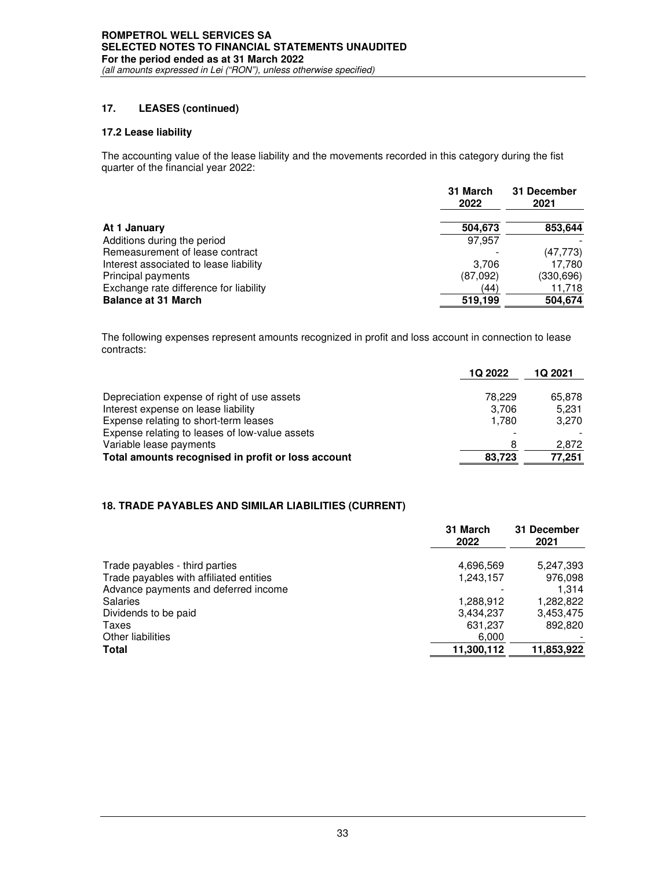# **17. LEASES (continued)**

## **17.2 Lease liability**

The accounting value of the lease liability and the movements recorded in this category during the fist quarter of the financial year 2022:

|                                        | 31 March<br>2022 | 31 December<br>2021 |  |
|----------------------------------------|------------------|---------------------|--|
| At 1 January                           | 504,673          | 853,644             |  |
| Additions during the period            | 97.957           |                     |  |
| Remeasurement of lease contract        |                  | (47, 773)           |  |
| Interest associated to lease liability | 3.706            | 17.780              |  |
| Principal payments                     | (87,092)         | (330, 696)          |  |
| Exchange rate difference for liability | (44)             | 11,718              |  |
| <b>Balance at 31 March</b>             | 519,199          | 504,674             |  |

The following expenses represent amounts recognized in profit and loss account in connection to lease contracts:

|                                                    | 1Q 2022 | 1Q 2021 |
|----------------------------------------------------|---------|---------|
| Depreciation expense of right of use assets        | 78.229  | 65,878  |
| Interest expense on lease liability                | 3.706   | 5.231   |
| Expense relating to short-term leases              | 1.780   | 3.270   |
| Expense relating to leases of low-value assets     |         |         |
| Variable lease payments                            | 8       | 2.872   |
| Total amounts recognised in profit or loss account | 83.723  | 77.251  |

## **18. TRADE PAYABLES AND SIMILAR LIABILITIES (CURRENT)**

|                                         | 31 March<br>2022 | 31 December<br>2021 |
|-----------------------------------------|------------------|---------------------|
| Trade payables - third parties          | 4,696,569        | 5,247,393           |
| Trade payables with affiliated entities | 1,243,157        | 976,098             |
| Advance payments and deferred income    |                  | 1.314               |
| <b>Salaries</b>                         | 1,288,912        | 1,282,822           |
| Dividends to be paid                    | 3,434,237        | 3,453,475           |
| Taxes                                   | 631,237          | 892.820             |
| Other liabilities                       | 6.000            |                     |
| Total                                   | 11.300.112       | 11,853,922          |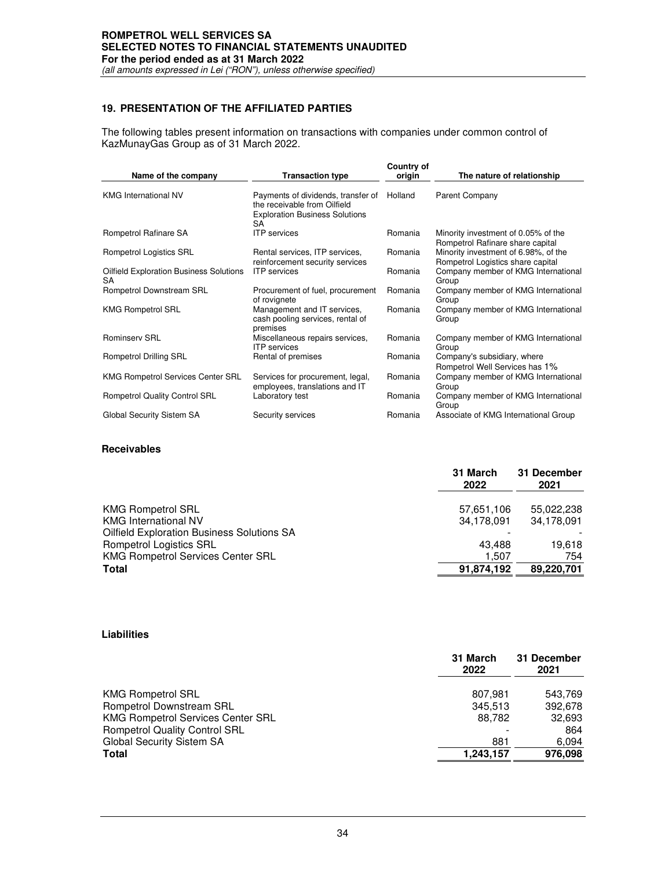# **ROMPETROL WELL SERVICES SA SELECTED NOTES TO FINANCIAL STATEMENTS UNAUDITED For the period ended as at 31 March 2022**

*(all amounts expressed in Lei ("RON"), unless otherwise specified)*

# **19. PRESENTATION OF THE AFFILIATED PARTIES**

The following tables present information on transactions with companies under common control of KazMunayGas Group as of 31 March 2022.

| Name of the company                                  | <b>Transaction type</b>                                                                                           | Country of<br>origin | The nature of relationship                                                |
|------------------------------------------------------|-------------------------------------------------------------------------------------------------------------------|----------------------|---------------------------------------------------------------------------|
| <b>KMG International NV</b>                          | Payments of dividends, transfer of<br>the receivable from Oilfield<br><b>Exploration Business Solutions</b><br>SA | Holland              | Parent Company                                                            |
| Rompetrol Rafinare SA                                | <b>ITP</b> services                                                                                               | Romania              | Minority investment of 0.05% of the<br>Rompetrol Rafinare share capital   |
| Rompetrol Logistics SRL                              | Rental services, ITP services,<br>reinforcement security services                                                 | Romania              | Minority investment of 6.98%, of the<br>Rompetrol Logistics share capital |
| <b>Oilfield Exploration Business Solutions</b><br>SA | <b>ITP</b> services                                                                                               | Romania              | Company member of KMG International<br>Group                              |
| Rompetrol Downstream SRL                             | Procurement of fuel, procurement<br>of rovignete                                                                  | Romania              | Company member of KMG International<br>Group                              |
| <b>KMG Rompetrol SRL</b>                             | Management and IT services,<br>cash pooling services, rental of<br>premises                                       | Romania              | Company member of KMG International<br>Group                              |
| <b>Rominserv SRL</b>                                 | Miscellaneous repairs services,<br><b>ITP</b> services                                                            | Romania              | Company member of KMG International<br>Group                              |
| Rompetrol Drilling SRL                               | Rental of premises                                                                                                | Romania              | Company's subsidiary, where<br>Rompetrol Well Services has 1%             |
| <b>KMG Rompetrol Services Center SRL</b>             | Services for procurement, legal,<br>employees, translations and IT                                                | Romania              | Company member of KMG International<br>Group                              |
| Rompetrol Quality Control SRL                        | Laboratory test                                                                                                   | Romania              | Company member of KMG International<br>Group                              |
| Global Security Sistem SA                            | Security services                                                                                                 | Romania              | Associate of KMG International Group                                      |

#### **Receivables**

|                                                   | 31 March<br>2022 | 31 December<br>2021 |
|---------------------------------------------------|------------------|---------------------|
| <b>KMG Rompetrol SRL</b>                          | 57,651,106       | 55,022,238          |
| <b>KMG International NV</b>                       | 34,178,091       | 34,178,091          |
| <b>Oilfield Exploration Business Solutions SA</b> |                  |                     |
| <b>Rompetrol Logistics SRL</b>                    | 43.488           | 19,618              |
| <b>KMG Rompetrol Services Center SRL</b>          | 1.507            | 754                 |
| <b>Total</b>                                      | 91,874,192       | 89.220.701          |
|                                                   |                  |                     |

#### **Liabilities**

|                                          | 31 March<br>2022 | 31 December<br>2021 |
|------------------------------------------|------------------|---------------------|
| <b>KMG Rompetrol SRL</b>                 | 807.981          | 543.769             |
| Rompetrol Downstream SRL                 | 345,513          | 392,678             |
| <b>KMG Rompetrol Services Center SRL</b> | 88.782           | 32,693              |
| <b>Rompetrol Quality Control SRL</b>     |                  | 864                 |
| <b>Global Security Sistem SA</b>         | 881              | 6.094               |
| Total                                    | 1,243,157        | 976,098             |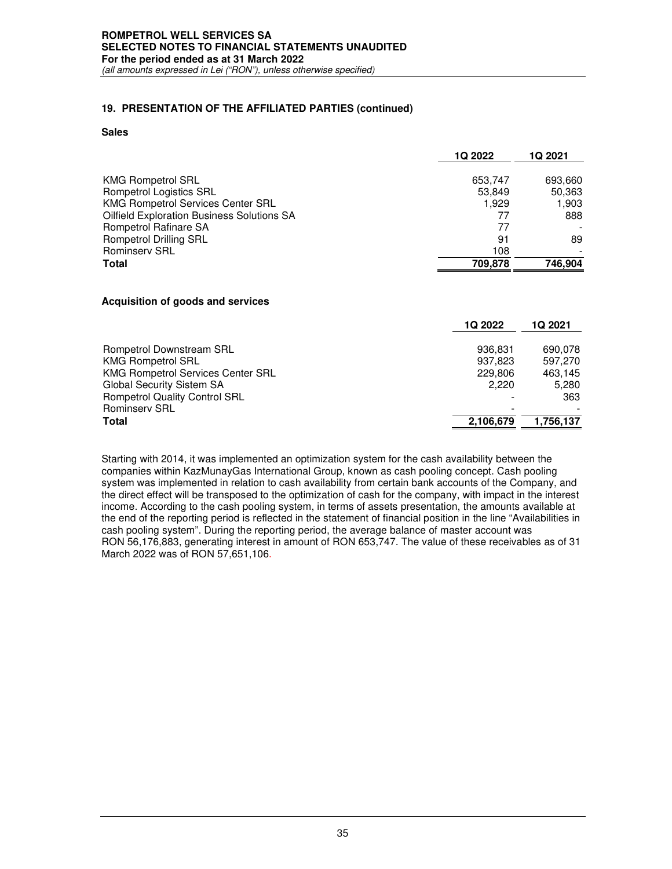## **19. PRESENTATION OF THE AFFILIATED PARTIES (continued)**

#### **Sales**

|                                                   | 1Q 2022 | 1Q 2021 |
|---------------------------------------------------|---------|---------|
| <b>KMG Rompetrol SRL</b>                          | 653,747 | 693,660 |
| <b>Rompetrol Logistics SRL</b>                    | 53,849  | 50,363  |
| <b>KMG Rompetrol Services Center SRL</b>          | 1.929   | 1.903   |
| <b>Oilfield Exploration Business Solutions SA</b> | 77      | 888     |
| Rompetrol Rafinare SA                             | 77      |         |
| <b>Rompetrol Drilling SRL</b>                     | 91      | 89      |
| <b>Rominserv SRL</b>                              | 108     |         |
| <b>Total</b>                                      | 709,878 | 746.904 |

#### **Acquisition of goods and services**

|                                          | 1Q 2022   | 1Q 2021   |
|------------------------------------------|-----------|-----------|
| Rompetrol Downstream SRL                 | 936,831   | 690.078   |
| <b>KMG Rompetrol SRL</b>                 | 937,823   | 597.270   |
| <b>KMG Rompetrol Services Center SRL</b> | 229,806   | 463,145   |
| <b>Global Security Sistem SA</b>         | 2.220     | 5.280     |
| <b>Rompetrol Quality Control SRL</b>     |           | 363       |
| <b>Rominserv SRL</b>                     |           |           |
| <b>Total</b>                             | 2,106,679 | 1,756,137 |
|                                          |           |           |

Starting with 2014, it was implemented an optimization system for the cash availability between the companies within KazMunayGas International Group, known as cash pooling concept. Cash pooling system was implemented in relation to cash availability from certain bank accounts of the Company, and the direct effect will be transposed to the optimization of cash for the company, with impact in the interest income. According to the cash pooling system, in terms of assets presentation, the amounts available at the end of the reporting period is reflected in the statement of financial position in the line "Availabilities in cash pooling system". During the reporting period, the average balance of master account was RON 56,176,883, generating interest in amount of RON 653,747. The value of these receivables as of 31 March 2022 was of RON 57,651,106.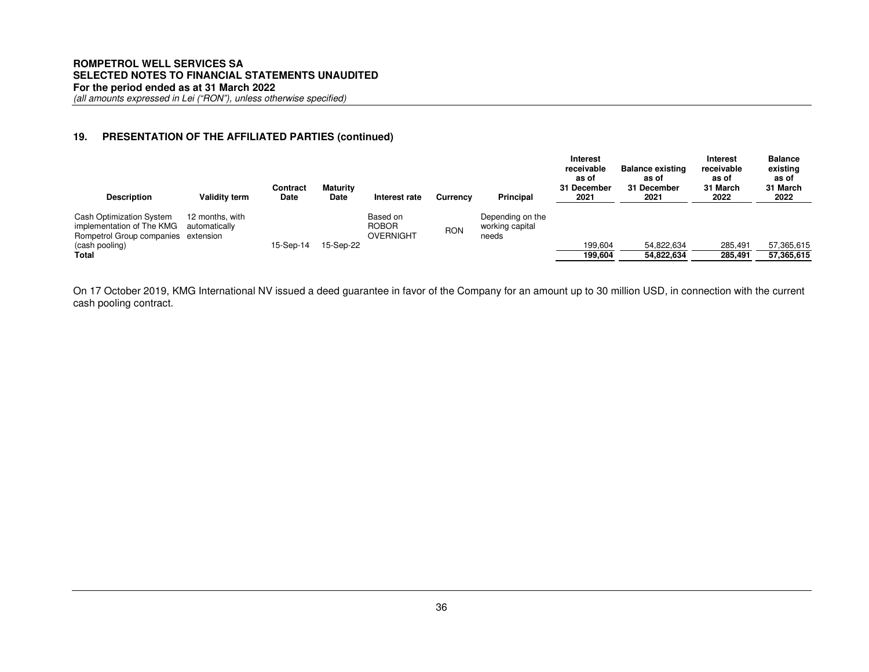## **19. PRESENTATION OF THE AFFILIATED PARTIES (continued)**

| <b>Description</b>                                                                                                             | <b>Validity term</b>             | Contract<br>Date | <b>Maturity</b><br><b>Date</b> | Interest rate                         | <b>Currency</b> | <b>Principal</b>                             | Interest<br>receivable<br>as of<br>31 December<br>2021 | <b>Balance existing</b><br>as of<br>31 December<br>2021 | <b>Interest</b><br>receivable<br>as of<br>31 March<br>2022 | <b>Balance</b><br>existing<br>as of<br>31 March<br>2022 |
|--------------------------------------------------------------------------------------------------------------------------------|----------------------------------|------------------|--------------------------------|---------------------------------------|-----------------|----------------------------------------------|--------------------------------------------------------|---------------------------------------------------------|------------------------------------------------------------|---------------------------------------------------------|
| <b>Cash Optimization System</b><br>implementation of The KMG<br>Rompetrol Group companies extension<br>(cash pooling)<br>Total | 12 months, with<br>automatically | 15-Sep-14        | 15-Sep-22                      | Based on<br><b>ROBOR</b><br>OVERNIGHT | <b>RON</b>      | Depending on the<br>working capital<br>needs | 199.604<br>199,604                                     | 54,822,634<br>54,822,634                                | 285.491<br>285,491                                         | 57,365,615<br>57,365,615                                |

On 17 October 2019, KMG International NV issued a deed guarantee in favor of the Company for an amount up to 30 million USD, in connection with the current cash pooling contract.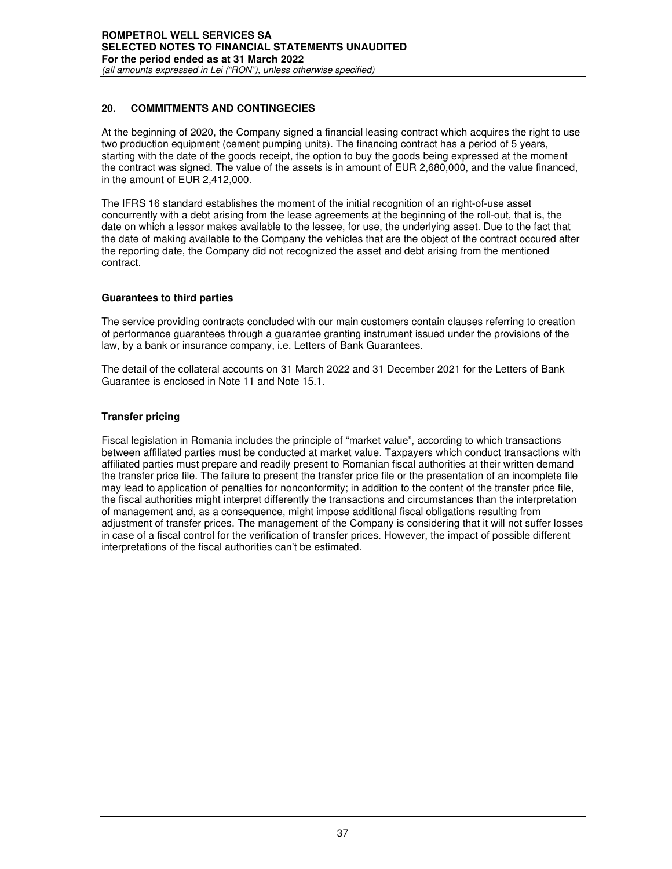# **20. COMMITMENTS AND CONTINGECIES**

At the beginning of 2020, the Company signed a financial leasing contract which acquires the right to use two production equipment (cement pumping units). The financing contract has a period of 5 years, starting with the date of the goods receipt, the option to buy the goods being expressed at the moment the contract was signed. The value of the assets is in amount of EUR 2,680,000, and the value financed, in the amount of EUR 2,412,000.

The IFRS 16 standard establishes the moment of the initial recognition of an right-of-use asset concurrently with a debt arising from the lease agreements at the beginning of the roll-out, that is, the date on which a lessor makes available to the lessee, for use, the underlying asset. Due to the fact that the date of making available to the Company the vehicles that are the object of the contract occured after the reporting date, the Company did not recognized the asset and debt arising from the mentioned contract.

# **Guarantees to third parties**

The service providing contracts concluded with our main customers contain clauses referring to creation of performance guarantees through a guarantee granting instrument issued under the provisions of the law, by a bank or insurance company, i.e. Letters of Bank Guarantees.

The detail of the collateral accounts on 31 March 2022 and 31 December 2021 for the Letters of Bank Guarantee is enclosed in Note 11 and Note 15.1.

# **Transfer pricing**

Fiscal legislation in Romania includes the principle of "market value", according to which transactions between affiliated parties must be conducted at market value. Taxpayers which conduct transactions with affiliated parties must prepare and readily present to Romanian fiscal authorities at their written demand the transfer price file. The failure to present the transfer price file or the presentation of an incomplete file may lead to application of penalties for nonconformity; in addition to the content of the transfer price file, the fiscal authorities might interpret differently the transactions and circumstances than the interpretation of management and, as a consequence, might impose additional fiscal obligations resulting from adjustment of transfer prices. The management of the Company is considering that it will not suffer losses in case of a fiscal control for the verification of transfer prices. However, the impact of possible different interpretations of the fiscal authorities can't be estimated.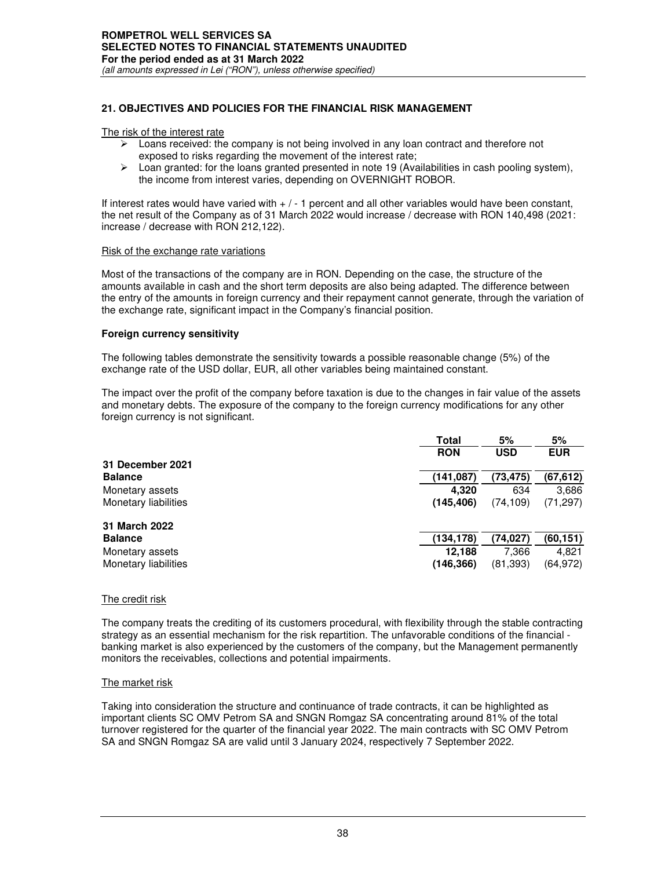## **21. OBJECTIVES AND POLICIES FOR THE FINANCIAL RISK MANAGEMENT**

#### The risk of the interest rate

- $\triangleright$  Loans received: the company is not being involved in any loan contract and therefore not exposed to risks regarding the movement of the interest rate;
- $\triangleright$  Loan granted: for the loans granted presented in note 19 (Availabilities in cash pooling system), the income from interest varies, depending on OVERNIGHT ROBOR.

If interest rates would have varied with + / - 1 percent and all other variables would have been constant, the net result of the Company as of 31 March 2022 would increase / decrease with RON 140,498 (2021: increase / decrease with RON 212,122).

#### Risk of the exchange rate variations

Most of the transactions of the company are in RON. Depending on the case, the structure of the amounts available in cash and the short term deposits are also being adapted. The difference between the entry of the amounts in foreign currency and their repayment cannot generate, through the variation of the exchange rate, significant impact in the Company's financial position.

#### **Foreign currency sensitivity**

The following tables demonstrate the sensitivity towards a possible reasonable change (5%) of the exchange rate of the USD dollar, EUR, all other variables being maintained constant.

The impact over the profit of the company before taxation is due to the changes in fair value of the assets and monetary debts. The exposure of the company to the foreign currency modifications for any other foreign currency is not significant.

|                      | <b>Total</b> |            | 5%         |
|----------------------|--------------|------------|------------|
|                      | <b>RON</b>   | <b>USD</b> | <b>EUR</b> |
| 31 December 2021     |              |            |            |
| <b>Balance</b>       | (141.087)    | (73,475)   | (67,612)   |
| Monetary assets      | 4.320        | 634        | 3,686      |
| Monetary liabilities | (145, 406)   | (74, 109)  | (71, 297)  |
| 31 March 2022        |              |            |            |
| <b>Balance</b>       | (134, 178)   | (74,027)   | (60, 151)  |
| Monetary assets      | 12.188       | 7.366      | 4,821      |
| Monetary liabilities | (146, 366)   | (81,393)   | (64, 972)  |

#### The credit risk

The company treats the crediting of its customers procedural, with flexibility through the stable contracting strategy as an essential mechanism for the risk repartition. The unfavorable conditions of the financial banking market is also experienced by the customers of the company, but the Management permanently monitors the receivables, collections and potential impairments.

#### The market risk

Taking into consideration the structure and continuance of trade contracts, it can be highlighted as important clients SC OMV Petrom SA and SNGN Romgaz SA concentrating around 81% of the total turnover registered for the quarter of the financial year 2022. The main contracts with SC OMV Petrom SA and SNGN Romgaz SA are valid until 3 January 2024, respectively 7 September 2022.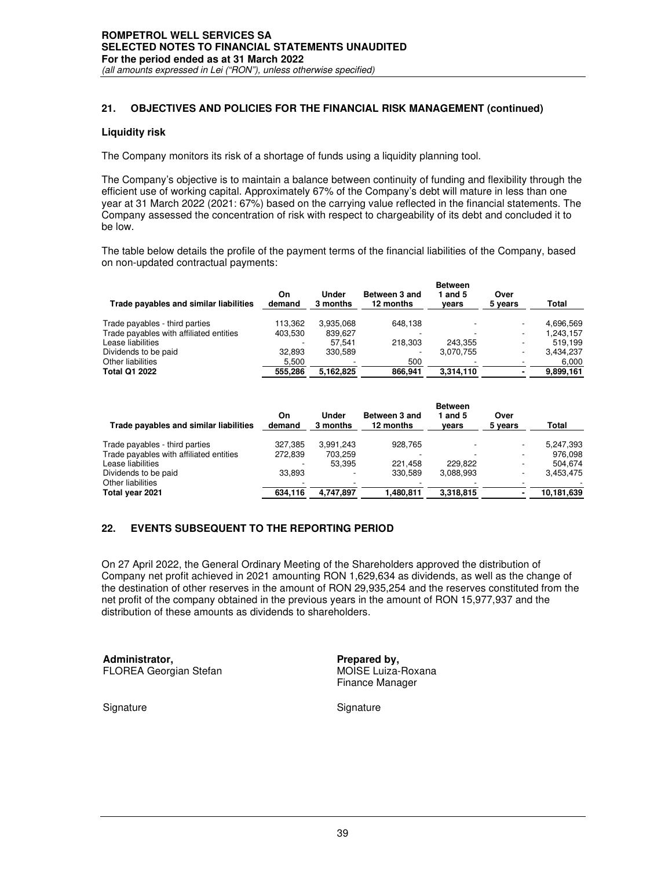## **21. OBJECTIVES AND POLICIES FOR THE FINANCIAL RISK MANAGEMENT (continued)**

## **Liquidity risk**

The Company monitors its risk of a shortage of funds using a liquidity planning tool.

The Company's objective is to maintain a balance between continuity of funding and flexibility through the efficient use of working capital. Approximately 67% of the Company's debt will mature in less than one year at 31 March 2022 (2021: 67%) based on the carrying value reflected in the financial statements. The Company assessed the concentration of risk with respect to chargeability of its debt and concluded it to be low.

The table below details the profile of the payment terms of the financial liabilities of the Company, based on non-updated contractual payments:

|                                         |              |                   |                            | <b>Between</b> |                 |           |
|-----------------------------------------|--------------|-------------------|----------------------------|----------------|-----------------|-----------|
| Trade payables and similar liabilities  | On<br>demand | Under<br>3 months | Between 3 and<br>12 months | and 5<br>vears | Over<br>5 vears | Total     |
| Trade payables - third parties          | 113.362      | 3.935.068         | 648.138                    |                |                 | 4.696.569 |
| Trade payables with affiliated entities | 403.530      | 839.627           |                            |                | -               | 1.243.157 |
| Lease liabilities                       |              | 57.541            | 218.303                    | 243.355        |                 | 519.199   |
| Dividends to be paid                    | 32.893       | 330.589           |                            | 3.070.755      | -               | 3,434,237 |
| Other liabilities                       | 5.500        |                   | 500                        |                |                 | 6.000     |
| <b>Total Q1 2022</b>                    | 555.286      | 5.162.825         | 866.941                    | 3.314.110      |                 | 9.899.161 |

| Trade payables and similar liabilities  | On<br>demand | Under<br>3 months | Between 3 and<br>12 months | <b>Between</b><br>∣and 5<br>vears | Over<br>5 years | <b>Total</b> |
|-----------------------------------------|--------------|-------------------|----------------------------|-----------------------------------|-----------------|--------------|
| Trade payables - third parties          | 327,385      | 3,991,243         | 928.765                    |                                   |                 | 5,247,393    |
| Trade payables with affiliated entities | 272,839      | 703.259           |                            |                                   |                 | 976.098      |
| Lease liabilities                       |              | 53.395            | 221.458                    | 229.822                           |                 | 504.674      |
| Dividends to be paid                    | 33.893       |                   | 330.589                    | 3,088,993                         |                 | 3,453,475    |
| Other liabilities                       |              |                   |                            |                                   |                 |              |
| Total year 2021                         | 634.116      | 4.747.897         | 1,480,811                  | 3,318,815                         |                 | 10,181,639   |

## **22. EVENTS SUBSEQUENT TO THE REPORTING PERIOD**

On 27 April 2022, the General Ordinary Meeting of the Shareholders approved the distribution of Company net profit achieved in 2021 amounting RON 1,629,634 as dividends, as well as the change of the destination of other reserves in the amount of RON 29,935,254 and the reserves constituted from the net profit of the company obtained in the previous years in the amount of RON 15,977,937 and the distribution of these amounts as dividends to shareholders.

**Administrator,** *Prepared by,*<br> **Prepared by,**<br> **PROREA** Georgian Stefan **Proport COVID BY ADDIST** MOISE Luiza-Roxana FLOREA Georgian Stefan

Finance Manager

Signature Signature Signature